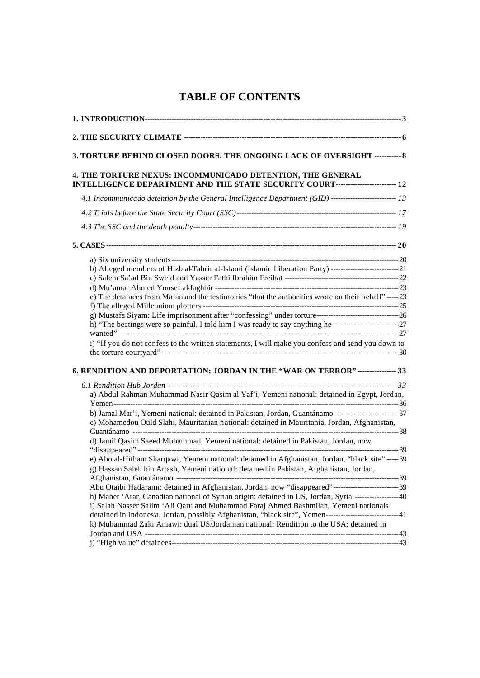# **TABLE OF CONTENTS**

| 3. TORTURE BEHIND CLOSED DOORS: THE ONGOING LACK OF OVERSIGHT ----------- 8                                                                    |  |
|------------------------------------------------------------------------------------------------------------------------------------------------|--|
| 4. THE TORTURE NEXUS: INCOMMUNICADO DETENTION, THE GENERAL<br>INTELLIGENCE DEPARTMENT AND THE STATE SECURITY COURT------------------------- 12 |  |
|                                                                                                                                                |  |
|                                                                                                                                                |  |
|                                                                                                                                                |  |
|                                                                                                                                                |  |
|                                                                                                                                                |  |
| b) Alleged members of Hizb al-Tahrir al-Islami (Islamic Liberation Party) ----------------------------------21                                 |  |
|                                                                                                                                                |  |
|                                                                                                                                                |  |
| e) The detainees from Ma'an and the testimonies "that the authorities wrote on their behalf"-----23                                            |  |
|                                                                                                                                                |  |
|                                                                                                                                                |  |
|                                                                                                                                                |  |
|                                                                                                                                                |  |
| i) "If you do not confess to the written statements, I will make you confess and send you down to                                              |  |
|                                                                                                                                                |  |
|                                                                                                                                                |  |
| 6. RENDITION AND DEPORTATION: JORDAN IN THE "WAR ON TERROR" ---------------- 33                                                                |  |
|                                                                                                                                                |  |
| a) Abdul Rahman Muhammad Nasir Qasim al-Yaf'i, Yemeni national: detained in Egypt, Jordan,                                                     |  |
|                                                                                                                                                |  |
| c) Mohamedou Ould Slahi, Mauritanian national: detained in Mauritania, Jordan, Afghanistan,                                                    |  |
|                                                                                                                                                |  |
| d) Jamil Qasim Saeed Muhammad, Yemeni national: detained in Pakistan, Jordan, now                                                              |  |
| e) Abo al-Hitham Sharqawi, Yemeni national: detained in Afghanistan, Jordan, "black site" ----- 39                                             |  |
| g) Hassan Saleh bin Attash, Yemeni national: detained in Pakistan, Afghanistan, Jordan,                                                        |  |
|                                                                                                                                                |  |
| Abu Otaibi Hadarami: detained in Afghanistan, Jordan, now "disappeared"-----------------------------39                                         |  |
| h) Maher 'Arar, Canadian national of Syrian origin: detained in US, Jordan, Syria ------------------40                                         |  |
| i) Salah Nasser Salim 'Ali Qaru and Muhammad Faraj Ahmed Bashmilah, Yemeni nationals                                                           |  |
| detained in Indonesia, Jordan, possibly Afghanistan, "black site", Yemen-------------------------------41                                      |  |
| k) Muhammad Zaki Amawi: dual US/Jordanian national: Rendition to the USA; detained in                                                          |  |
|                                                                                                                                                |  |
|                                                                                                                                                |  |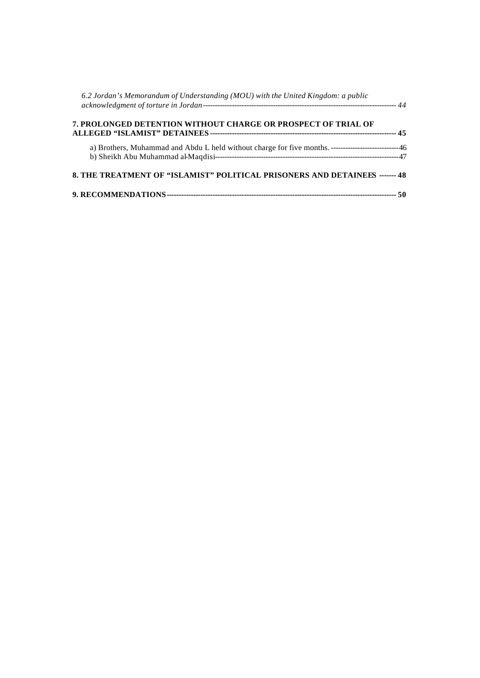| 6.2 Jordan's Memorandum of Understanding (MOU) with the United Kingdom: a public |  |
|----------------------------------------------------------------------------------|--|
| 7. PROLONGED DETENTION WITHOUT CHARGE OR PROSPECT OF TRIAL OF                    |  |
|                                                                                  |  |
| 8. THE TREATMENT OF "ISLAMIST" POLITICAL PRISONERS AND DETAINEES ------- 48      |  |
|                                                                                  |  |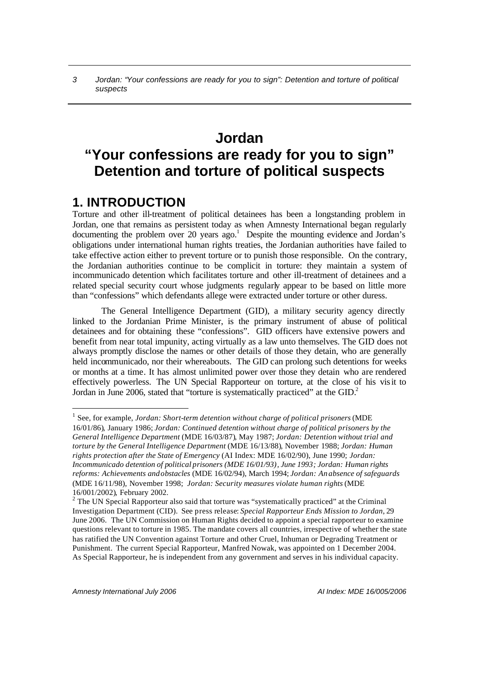# **Jordan "Your confessions are ready for you to sign" Detention and torture of political suspects**

# **1. INTRODUCTION**

Torture and other ill-treatment of political detainees has been a longstanding problem in Jordan, one that remains as persistent today as when Amnesty International began regularly documenting the problem over 20 years  $ago<sup>1</sup>$  Despite the mounting evidence and Jordan's obligations under international human rights treaties, the Jordanian authorities have failed to take effective action either to prevent torture or to punish those responsible. On the contrary, the Jordanian authorities continue to be complicit in torture: they maintain a system of incommunicado detention which facilitates torture and other ill-treatment of detainees and a related special security court whose judgments regularly appear to be based on little more than "confessions" which defendants allege were extracted under torture or other duress.

The General Intelligence Department (GID), a military security agency directly linked to the Jordanian Prime Minister, is the primary instrument of abuse of political detainees and for obtaining these "confessions". GID officers have extensive powers and benefit from near total impunity, acting virtually as a law unto themselves. The GID does not always promptly disclose the names or other details of those they detain, who are generally held incommunicado, nor their whereabouts. The GID can prolong such detentions for weeks or months at a time. It has almost unlimited power over those they detain who are rendered effectively powerless. The UN Special Rapporteur on torture, at the close of his visit to Jordan in June 2006, stated that "torture is systematically practiced" at the GID.<sup>2</sup>

<sup>&</sup>lt;sup>1</sup> See, for example, *Jordan: Short-term detention without charge of political prisoners* (MDE 16/01/86), January 1986; *Jordan: Continued detention without charge of political prisoners by the General Intelligence Department* (MDE 16/03/87), May 1987; *Jordan: Detention without trial and torture by the General Intelligence Department* (MDE 16/13/88), November 1988; *Jordan: Human rights protection after the State of Emergency* (AI Index: MDE 16/02/90), June 1990; *Jordan: Incommunicado detention of political prisoners (MDE 16/01/93), June 1993; Jordan: Human rights reforms: Achievements and obstacles* (MDE 16/02/94), March 1994; *Jordan: An absence of safeguards* (MDE 16/11/98), November 1998; *Jordan: Security measures violate human rights* (MDE 16/001/2002), February 2002.

 $2^2$  The UN Special Rapporteur also said that torture was "systematically practiced" at the Criminal Investigation Department (CID). See press release: *Special Rapporteur Ends Mission to Jordan*, 29 June 2006. The UN Commission on Human Rights decided to appoint a special rapporteur to examine questions relevant to torture in 1985. The mandate covers all countries, irrespective of whether the state has ratified the UN Convention against Torture and other Cruel, Inhuman or Degrading Treatment or Punishment. The current Special Rapporteur, Manfred Nowak, was appointed on 1 December 2004. As Special Rapporteur, he is independent from any government and serves in his individual capacity.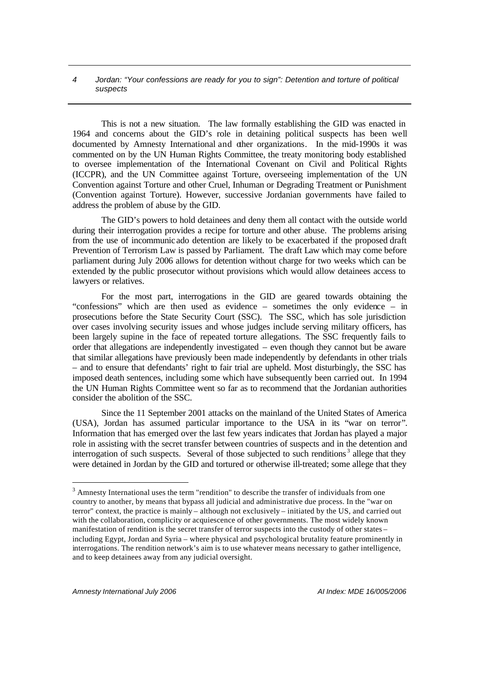This is not a new situation. The law formally establishing the GID was enacted in 1964 and concerns about the GID's role in detaining political suspects has been well documented by Amnesty International and other organizations. In the mid-1990s it was commented on by the UN Human Rights Committee, the treaty monitoring body established to oversee implementation of the International Covenant on Civil and Political Rights (ICCPR), and the UN Committee against Torture, overseeing implementation of the UN Convention against Torture and other Cruel, Inhuman or Degrading Treatment or Punishment (Convention against Torture). However, successive Jordanian governments have failed to address the problem of abuse by the GID.

The GID's powers to hold detainees and deny them all contact with the outside world during their interrogation provides a recipe for torture and other abuse. The problems arising from the use of incommunic ado detention are likely to be exacerbated if the proposed draft Prevention of Terrorism Law is passed by Parliament. The draft Law which may come before parliament during July 2006 allows for detention without charge for two weeks which can be extended by the public prosecutor without provisions which would allow detainees access to lawyers or relatives.

For the most part, interrogations in the GID are geared towards obtaining the "confessions" which are then used as evidence – sometimes the only evidence – in prosecutions before the State Security Court (SSC). The SSC, which has sole jurisdiction over cases involving security issues and whose judges include serving military officers, has been largely supine in the face of repeated torture allegations. The SSC frequently fails to order that allegations are independently investigated – even though they cannot but be aware that similar allegations have previously been made independently by defendants in other trials – and to ensure that defendants' right to fair trial are upheld. Most disturbingly, the SSC has imposed death sentences, including some which have subsequently been carried out. In 1994 the UN Human Rights Committee went so far as to recommend that the Jordanian authorities consider the abolition of the SSC.

Since the 11 September 2001 attacks on the mainland of the United States of America (USA), Jordan has assumed particular importance to the USA in its "war on terror". Information that has emerged over the last few years indicates that Jordan has played a major role in assisting with the secret transfer between countries of suspects and in the detention and interrogation of such suspects. Several of those subjected to such renditions<sup>3</sup> allege that they were detained in Jordan by the GID and tortured or otherwise ill-treated; some allege that they

 $3$  Amnesty International uses the term "rendition" to describe the transfer of individuals from one country to another, by means that bypass all judicial and administrative due process. In the "war on terror" context, the practice is mainly – although not exclusively – initiated by the US, and carried out with the collaboration, complicity or acquiescence of other governments. The most widely known manifestation of rendition is the secret transfer of terror suspects into the custody of other states – including Egypt, Jordan and Syria – where physical and psychological brutality feature prominently in interrogations. The rendition network's aim is to use whatever means necessary to gather intelligence, and to keep detainees away from any judicial oversight.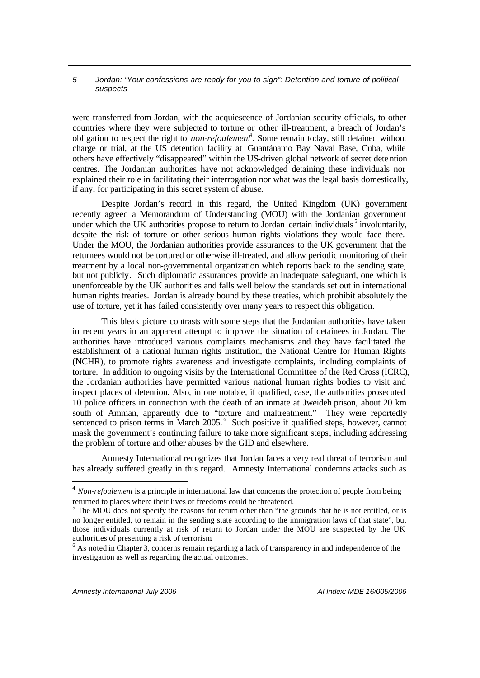were transferred from Jordan, with the acquiescence of Jordanian security officials, to other countries where they were subjected to torture or other ill-treatment, a breach of Jordan's obligation to respect the right to *non-refoulement*<sup>4</sup>. Some remain today, still detained without charge or trial, at the US detention facility at Guantánamo Bay Naval Base, Cuba, while others have effectively "disappeared" within the US-driven global network of secret detention centres. The Jordanian authorities have not acknowledged detaining these individuals nor explained their role in facilitating their interrogation nor what was the legal basis domestically, if any, for participating in this secret system of abuse.

Despite Jordan's record in this regard, the United Kingdom (UK) government recently agreed a Memorandum of Understanding (MOU) with the Jordanian government under which the UK authorities propose to return to Jordan certain individuals<sup>5</sup> involuntarily, despite the risk of torture or other serious human rights violations they would face there. Under the MOU, the Jordanian authorities provide assurances to the UK government that the returnees would not be tortured or otherwise ill-treated, and allow periodic monitoring of their treatment by a local non-governmental organization which reports back to the sending state, but not publicly. Such diplomatic assurances provide an inadequate safeguard, one which is unenforceable by the UK authorities and falls well below the standards set out in international human rights treaties. Jordan is already bound by these treaties, which prohibit absolutely the use of torture, yet it has failed consistently over many years to respect this obligation.

This bleak picture contrasts with some steps that the Jordanian authorities have taken in recent years in an apparent attempt to improve the situation of detainees in Jordan. The authorities have introduced various complaints mechanisms and they have facilitated the establishment of a national human rights institution, the National Centre for Human Rights (NCHR), to promote rights awareness and investigate complaints, including complaints of torture. In addition to ongoing visits by the International Committee of the Red Cross (ICRC), the Jordanian authorities have permitted various national human rights bodies to visit and inspect places of detention. Also, in one notable, if qualified, case, the authorities prosecuted 10 police officers in connection with the death of an inmate at Jweideh prison, about 20 km south of Amman, apparently due to "torture and maltreatment." They were reportedly sentenced to prison terms in March 2005.<sup>6</sup> Such positive if qualified steps, however, cannot mask the government's continuing failure to take more significant steps, including addressing the problem of torture and other abuses by the GID and elsewhere.

Amnesty International recognizes that Jordan faces a very real threat of terrorism and has already suffered greatly in this regard. Amnesty International condemns attacks such as

<sup>&</sup>lt;sup>4</sup> Non-refoulement is a principle in international law that concerns the protection of people from being returned to places where their lives or freedoms could be threatened.<br><sup>5</sup> The MOU does not specify the reasons for return other than "the grounds that he is not entitled, or is

no longer entitled, to remain in the sending state according to the immigration laws of that state", but those individuals currently at risk of return to Jordan under the MOU are suspected by the UK authorities of presenting a risk of terrorism.

 $6$  As noted in Chapter 3, concerns remain regarding a lack of transparency in and independence of the investigation as well as regarding the actual outcomes.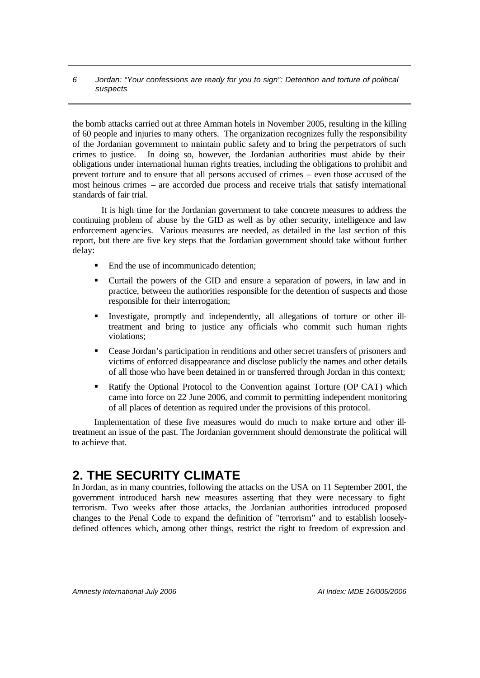the bomb attacks carried out at three Amman hotels in November 2005, resulting in the killing of 60 people and injuries to many others. The organization recognizes fully the responsibility of the Jordanian government to maintain public safety and to bring the perpetrators of such crimes to justice. In doing so, however, the Jordanian authorities must abide by their obligations under international human rights treaties, including the obligations to prohibit and prevent torture and to ensure that all persons accused of crimes – even those accused of the most heinous crimes – are accorded due process and receive trials that satisfy international standards of fair trial.

It is high time for the Jordanian government to take concrete measures to address the continuing problem of abuse by the GID as well as by other security, intelligence and law enforcement agencies. Various measures are needed, as detailed in the last section of this report, but there are five key steps that the Jordanian government should take without further delay:

- ß End the use of incommunicado detention;
- ß Curtail the powers of the GID and ensure a separation of powers, in law and in practice, between the authorities responsible for the detention of suspects and those responsible for their interrogation;
- ß Investigate, promptly and independently, all allegations of torture or other illtreatment and bring to justice any officials who commit such human rights violations;
- **•** Cease Jordan's participation in renditions and other secret transfers of prisoners and victims of enforced disappearance and disclose publicly the names and other details of all those who have been detained in or transferred through Jordan in this context;
- ß Ratify the Optional Protocol to the Convention against Torture (OP CAT) which came into force on 22 June 2006, and commit to permitting independent monitoring of all places of detention as required under the provisions of this protocol.

Implementation of these five measures would do much to make torture and other illtreatment an issue of the past. The Jordanian government should demonstrate the political will to achieve that.

# **2. THE SECURITY CLIMATE**

In Jordan, as in many countries, following the attacks on the USA on 11 September 2001, the government introduced harsh new measures asserting that they were necessary to fight terrorism. Two weeks after those attacks, the Jordanian authorities introduced proposed changes to the Penal Code to expand the definition of "terrorism" and to establish looselydefined offences which, among other things, restrict the right to freedom of expression and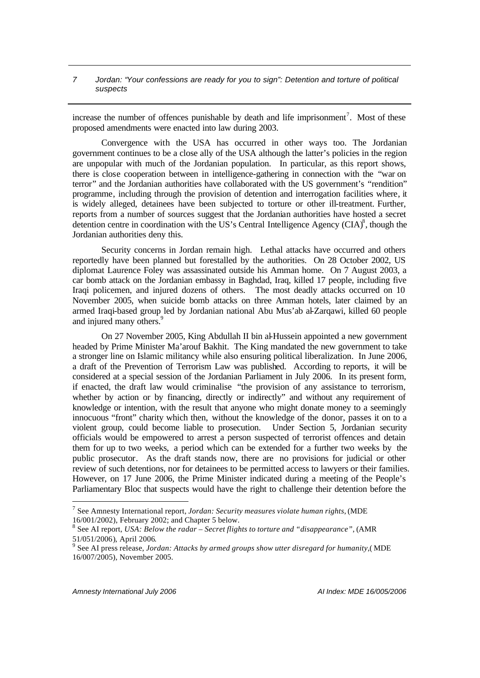increase the number of offences punishable by death and life imprisonment<sup>7</sup>. Most of these proposed amendments were enacted into law during 2003.

Convergence with the USA has occurred in other ways too. The Jordanian government continues to be a close ally of the USA although the latter's policies in the region are unpopular with much of the Jordanian population. In particular, as this report shows, there is close cooperation between in intelligence-gathering in connection with the "war on terror" and the Jordanian authorities have collaborated with the US government's "rendition" programme, including through the provision of detention and interrogation facilities where, it is widely alleged, detainees have been subjected to torture or other ill-treatment. Further, reports from a number of sources suggest that the Jordanian authorities have hosted a secret detention centre in coordination with the US's Central Intelligence Agency  $(CIA)^8$ , though the Jordanian authorities deny this.

Security concerns in Jordan remain high. Lethal attacks have occurred and others reportedly have been planned but forestalled by the authorities. On 28 October 2002, US diplomat Laurence Foley was assassinated outside his Amman home. On 7 August 2003, a car bomb attack on the Jordanian embassy in Baghdad, Iraq, killed 17 people, including five Iraqi policemen, and injured dozens of others. The most deadly attacks occurred on 10 November 2005, when suicide bomb attacks on three Amman hotels, later claimed by an armed Iraqi-based group led by Jordanian national Abu Mus'ab al-Zarqawi, killed 60 people and injured many others.<sup>9</sup>

On 27 November 2005, King Abdullah II bin al-Hussein appointed a new government headed by Prime Minister Ma'arouf Bakhit. The King mandated the new government to take a stronger line on Islamic militancy while also ensuring political liberalization. In June 2006, a draft of the Prevention of Terrorism Law was published. According to reports, it will be considered at a special session of the Jordanian Parliament in July 2006. In its present form, if enacted, the draft law would criminalise "the provision of any assistance to terrorism, whether by action or by financing, directly or indirectly" and without any requirement of knowledge or intention, with the result that anyone who might donate money to a seemingly innocuous "front" charity which then, without the knowledge of the donor, passes it on to a violent group, could become liable to prosecution. Under Section 5, Jordanian security officials would be empowered to arrest a person suspected of terrorist offences and detain them for up to two weeks, a period which can be extended for a further two weeks by the public prosecutor. As the draft stands now, there are no provisions for judicial or other review of such detentions, nor for detainees to be permitted access to lawyers or their families. However, on 17 June 2006, the Prime Minister indicated during a meeting of the People's Parliamentary Bloc that suspects would have the right to challenge their detention before the

<sup>7</sup> See Amnesty International report, *Jordan: Security measures violate human rights*, (MDE 16/001/2002), February 2002; and Chapter 5 below.

<sup>8</sup> See AI report, *USA: Below the radar – Secret flights to torture and "disappearance"*, (AMR 51/051/2006), April 2006. 9 See AI press release, *Jordan: Attacks by armed groups show utter disregard for humanity*,( MDE

<sup>16/007/2005),</sup> November 2005.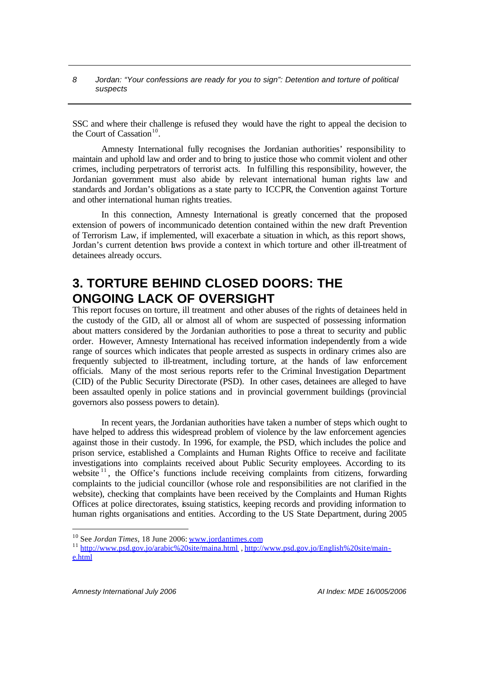SSC and where their challenge is refused they would have the right to appeal the decision to the Court of Cassation $10$ .

Amnesty International fully recognises the Jordanian authorities' responsibility to maintain and uphold law and order and to bring to justice those who commit violent and other crimes, including perpetrators of terrorist acts. In fulfilling this responsibility, however, the Jordanian government must also abide by relevant international human rights law and standards and Jordan's obligations as a state party to ICCPR, the Convention against Torture and other international human rights treaties.

In this connection, Amnesty International is greatly concerned that the proposed extension of powers of incommunicado detention contained within the new draft Prevention of Terrorism Law, if implemented, will exacerbate a situation in which, as this report shows, Jordan's current detention laws provide a context in which torture and other ill-treatment of detainees already occurs.

# **3. TORTURE BEHIND CLOSED DOORS: THE ONGOING LACK OF OVERSIGHT**

This report focuses on torture, ill treatment and other abuses of the rights of detainees held in the custody of the GID, all or almost all of whom are suspected of possessing information about matters considered by the Jordanian authorities to pose a threat to security and public order. However, Amnesty International has received information independently from a wide range of sources which indicates that people arrested as suspects in ordinary crimes also are frequently subjected to ill-treatment, including torture, at the hands of law enforcement officials. Many of the most serious reports refer to the Criminal Investigation Department (CID) of the Public Security Directorate (PSD). In other cases, detainees are alleged to have been assaulted openly in police stations and in provincial government buildings (provincial governors also possess powers to detain).

In recent years, the Jordanian authorities have taken a number of steps which ought to have helped to address this widespread problem of violence by the law enforcement agencies against those in their custody. In 1996, for example, the PSD, which includes the police and prison service, established a Complaints and Human Rights Office to receive and facilitate investigations into complaints received about Public Security employees. According to its website  $11$ , the Office's functions include receiving complaints from citizens, forwarding complaints to the judicial councillor (whose role and responsibilities are not clarified in the website), checking that complaints have been received by the Complaints and Human Rights Offices at police directorates, issuing statistics, keeping records and providing information to human rights organisations and entities. According to the US State Department, during 2005

<sup>10</sup> See *Jordan Times*, 18 June 2006: www.jordantimes.com

<sup>&</sup>lt;sup>11</sup> http://www.psd.gov.jo/arabic%20site/maina.html , http://www.psd.gov.jo/English%20site/maine.html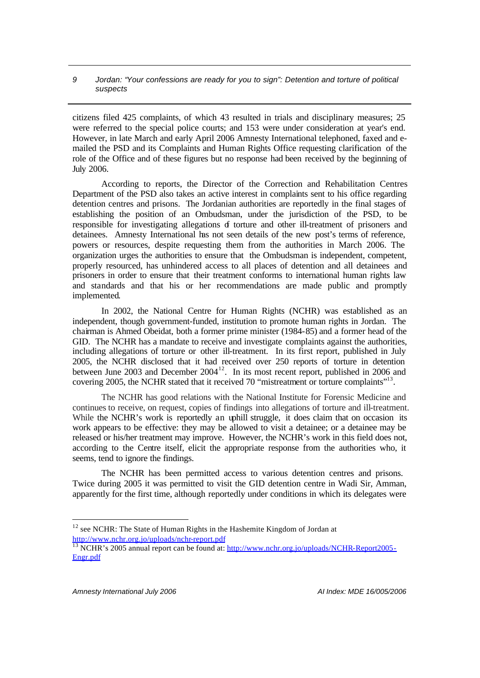citizens filed 425 complaints, of which 43 resulted in trials and disciplinary measures; 25 were referred to the special police courts; and 153 were under consideration at year's end. However, in late March and early April 2006 Amnesty International telephoned, faxed and emailed the PSD and its Complaints and Human Rights Office requesting clarification of the role of the Office and of these figures but no response had been received by the beginning of July 2006.

According to reports, the Director of the Correction and Rehabilitation Centres Department of the PSD also takes an active interest in complaints sent to his office regarding detention centres and prisons. The Jordanian authorities are reportedly in the final stages of establishing the position of an Ombudsman, under the jurisdiction of the PSD, to be responsible for investigating allegations of torture and other ill-treatment of prisoners and detainees. Amnesty International has not seen details of the new post's terms of reference, powers or resources, despite requesting them from the authorities in March 2006. The organization urges the authorities to ensure that the Ombudsman is independent, competent, properly resourced, has unhindered access to all places of detention and all detainees and prisoners in order to ensure that their treatment conforms to international human rights law and standards and that his or her recommendations are made public and promptly implemented.

In 2002, the National Centre for Human Rights (NCHR) was established as an independent, though government-funded, institution to promote human rights in Jordan. The chairman is Ahmed Obeidat, both a former prime minister (1984-85) and a former head of the GID. The NCHR has a mandate to receive and investigate complaints against the authorities, including allegations of torture or other ill-treatment. In its first report, published in July 2005, the NCHR disclosed that it had received over 250 reports of torture in detention between June 2003 and December 2004<sup>12</sup>. In its most recent report, published in 2006 and covering 2005, the NCHR stated that it received 70 "mistreatment or torture complaints"<sup>13</sup>.

The NCHR has good relations with the National Institute for Forensic Medicine and continues to receive, on request, copies of findings into allegations of torture and ill-treatment. While the NCHR's work is reportedly an uphill struggle, it does claim that on occasion its work appears to be effective: they may be allowed to visit a detainee; or a detainee may be released or his/her treatment may improve. However, the NCHR's work in this field does not, according to the Centre itself, elicit the appropriate response from the authorities who, it seems, tend to ignore the findings.

The NCHR has been permitted access to various detention centres and prisons. Twice during 2005 it was permitted to visit the GID detention centre in Wadi Sir, Amman, apparently for the first time, although reportedly under conditions in which its delegates were

<sup>&</sup>lt;sup>12</sup> see NCHR: The State of Human Rights in the Hashemite Kingdom of Jordan at http://www.nchr.org.jo/uploads/nchr-report.pdf

<sup>&</sup>lt;sup>13</sup> NCHR's 2005 annual report can be found at: http://www.nchr.org.jo/uploads/NCHR-Report2005-Engr.pdf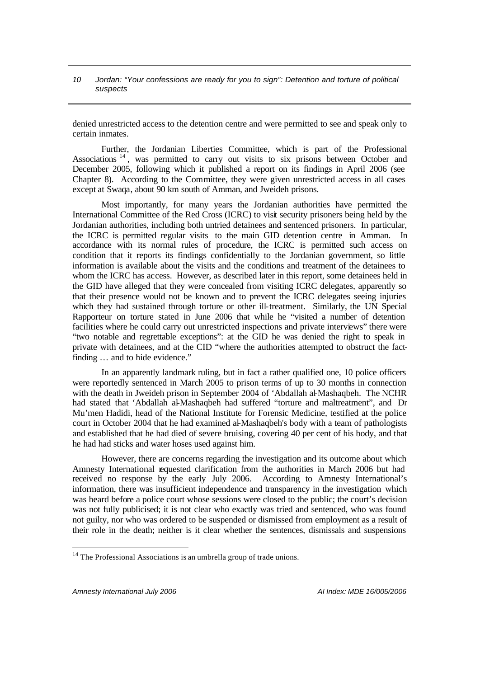denied unrestricted access to the detention centre and were permitted to see and speak only to certain inmates.

Further, the Jordanian Liberties Committee, which is part of the Professional Associations<sup>14</sup>, was permitted to carry out visits to six prisons between October and December 2005, following which it published a report on its findings in April 2006 (see Chapter 8). According to the Committee, they were given unrestricted access in all cases except at Swaqa, about 90 km south of Amman, and Jweideh prisons.

Most importantly, for many years the Jordanian authorities have permitted the International Committee of the Red Cross (ICRC) to visit security prisoners being held by the Jordanian authorities, including both untried detainees and sentenced prisoners. In particular, the ICRC is permitted regular visits to the main GID detention centre in Amman. In accordance with its normal rules of procedure, the ICRC is permitted such access on condition that it reports its findings confidentially to the Jordanian government, so little information is available about the visits and the conditions and treatment of the detainees to whom the ICRC has access. However, as described later in this report, some detainees held in the GID have alleged that they were concealed from visiting ICRC delegates, apparently so that their presence would not be known and to prevent the ICRC delegates seeing injuries which they had sustained through torture or other ill-treatment. Similarly, the UN Special Rapporteur on torture stated in June 2006 that while he "visited a number of detention facilities where he could carry out unrestricted inspections and private interviews" there were "two notable and regrettable exceptions": at the GID he was denied the right to speak in private with detainees, and at the CID "where the authorities attempted to obstruct the factfinding … and to hide evidence."

In an apparently landmark ruling, but in fact a rather qualified one, 10 police officers were reportedly sentenced in March 2005 to prison terms of up to 30 months in connection with the death in Jweideh prison in September 2004 of 'Abdallah al-Mashaqbeh. The NCHR had stated that 'Abdallah al-Mashaqbeh had suffered "torture and maltreatment", and Dr Mu'men Hadidi, head of the National Institute for Forensic Medicine, testified at the police court in October 2004 that he had examined al-Mashaqbeh's body with a team of pathologists and established that he had died of severe bruising, covering 40 per cent of his body, and that he had had sticks and water hoses used against him.

However, there are concerns regarding the investigation and its outcome about which Amnesty International requested clarification from the authorities in March 2006 but had received no response by the early July 2006. According to Amnesty International's information, there was insufficient independence and transparency in the investigation which was heard before a police court whose sessions were closed to the public; the court's decision was not fully publicised; it is not clear who exactly was tried and sentenced, who was found not guilty, nor who was ordered to be suspended or dismissed from employment as a result of their role in the death; neither is it clear whether the sentences, dismissals and suspensions

<sup>&</sup>lt;sup>14</sup> The Professional Associations is an umbrella group of trade unions.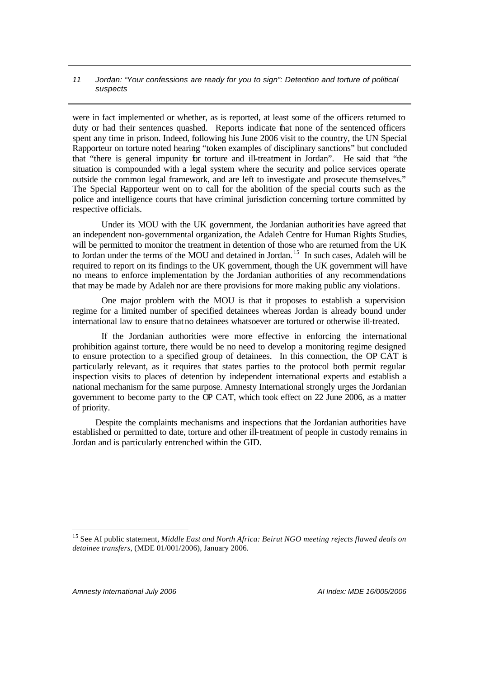were in fact implemented or whether, as is reported, at least some of the officers returned to duty or had their sentences quashed. Reports indicate that none of the sentenced officers spent any time in prison. Indeed, following his June 2006 visit to the country, the UN Special Rapporteur on torture noted hearing "token examples of disciplinary sanctions" but concluded that "there is general impunity for torture and ill-treatment in Jordan". He said that "the situation is compounded with a legal system where the security and police services operate outside the common legal framework, and are left to investigate and prosecute themselves." The Special Rapporteur went on to call for the abolition of the special courts such as the police and intelligence courts that have criminal jurisdiction concerning torture committed by respective officials.

Under its MOU with the UK government, the Jordanian authorities have agreed that an independent non-governmental organization, the Adaleh Centre for Human Rights Studies, will be permitted to monitor the treatment in detention of those who are returned from the UK to Jordan under the terms of the MOU and detained in Jordan.<sup>15</sup> In such cases, Adaleh will be required to report on its findings to the UK government, though the UK government will have no means to enforce implementation by the Jordanian authorities of any recommendations that may be made by Adaleh nor are there provisions for more making public any violations.

One major problem with the MOU is that it proposes to establish a supervision regime for a limited number of specified detainees whereas Jordan is already bound under international law to ensure that no detainees whatsoever are tortured or otherwise ill-treated.

If the Jordanian authorities were more effective in enforcing the international prohibition against torture, there would be no need to develop a monitoring regime designed to ensure protection to a specified group of detainees. In this connection, the OP CAT is particularly relevant, as it requires that states parties to the protocol both permit regular inspection visits to places of detention by independent international experts and establish a national mechanism for the same purpose. Amnesty International strongly urges the Jordanian government to become party to the OP CAT, which took effect on 22 June 2006, as a matter of priority.

Despite the complaints mechanisms and inspections that the Jordanian authorities have established or permitted to date, torture and other ill-treatment of people in custody remains in Jordan and is particularly entrenched within the GID.

*Amnesty International July 2006 AI Index: MDE 16/005/2006*

<sup>15</sup> See AI public statement, *Middle East and North Africa: Beirut NGO meeting rejects flawed deals on detainee transfers*, (MDE 01/001/2006), January 2006.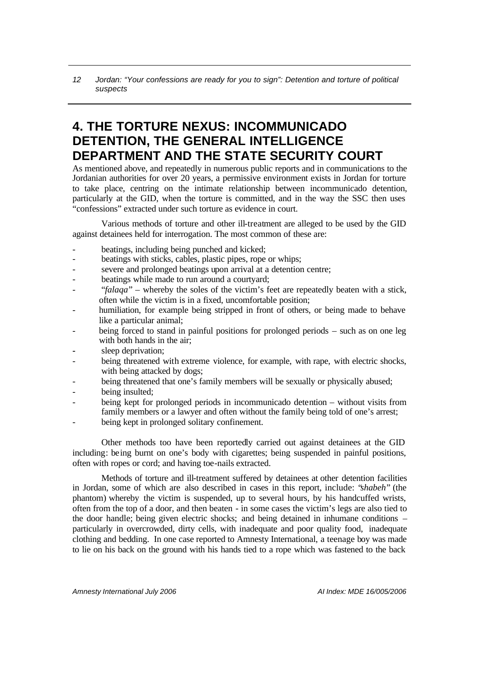# **4. THE TORTURE NEXUS: INCOMMUNICADO DETENTION, THE GENERAL INTELLIGENCE DEPARTMENT AND THE STATE SECURITY COURT**

As mentioned above, and repeatedly in numerous public reports and in communications to the Jordanian authorities for over 20 years, a permissive environment exists in Jordan for torture to take place, centring on the intimate relationship between incommunicado detention, particularly at the GID, when the torture is committed, and in the way the SSC then uses "confessions" extracted under such torture as evidence in court.

Various methods of torture and other ill-treatment are alleged to be used by the GID against detainees held for interrogation. The most common of these are:

- beatings, including being punched and kicked;
- beatings with sticks, cables, plastic pipes, rope or whips;
- severe and prolonged beatings upon arrival at a detention centre;
- beatings while made to run around a courtyard;
- "*falaqa*" whereby the soles of the victim's feet are repeatedly beaten with a stick, often while the victim is in a fixed, uncomfortable position;
- humiliation, for example being stripped in front of others, or being made to behave like a particular animal;
- being forced to stand in painful positions for prolonged periods such as on one leg with both hands in the air;
- **-** sleep deprivation;
- being threatened with extreme violence, for example, with rape, with electric shocks, with being attacked by dogs;
- being threatened that one's family members will be sexually or physically abused;
- being insulted;
- being kept for prolonged periods in incommunicado detention without visits from family members or a lawyer and often without the family being told of one's arrest;
- being kept in prolonged solitary confinement.

Other methods too have been reportedly carried out against detainees at the GID including: being burnt on one's body with cigarettes; being suspended in painful positions, often with ropes or cord; and having toe-nails extracted.

Methods of torture and ill-treatment suffered by detainees at other detention facilities in Jordan, some of which are also described in cases in this report, include: "*shabeh*" (the phantom) whereby the victim is suspended, up to several hours, by his handcuffed wrists, often from the top of a door, and then beaten - in some cases the victim's legs are also tied to the door handle; being given electric shocks; and being detained in inhumane conditions – particularly in overcrowded, dirty cells, with inadequate and poor quality food, inadequate clothing and bedding. In one case reported to Amnesty International, a teenage boy was made to lie on his back on the ground with his hands tied to a rope which was fastened to the back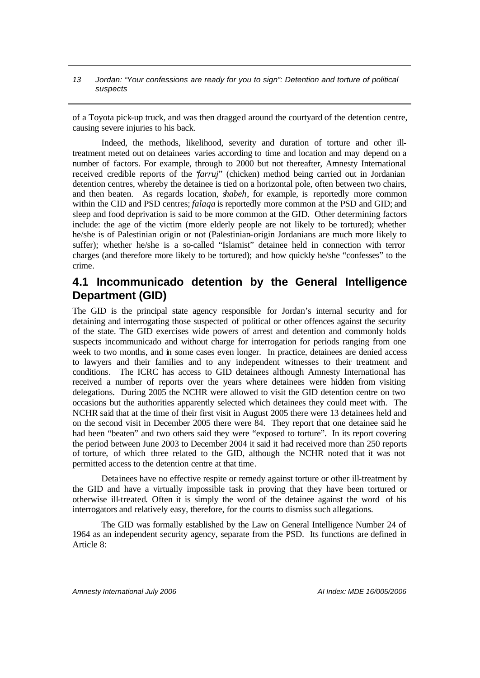of a Toyota pick-up truck, and was then dragged around the courtyard of the detention centre, causing severe injuries to his back.

Indeed, the methods, likelihood, severity and duration of torture and other illtreatment meted out on detainees varies according to time and location and may depend on a number of factors. For example, through to 2000 but not thereafter, Amnesty International received credible reports of the "*farruj*" (chicken) method being carried out in Jordanian detention centres, whereby the detainee is tied on a horizontal pole, often between two chairs, and then beaten. As regards location, *shabeh*, for example, is reportedly more common within the CID and PSD centres; *falaqa* is reportedly more common at the PSD and GID; and sleep and food deprivation is said to be more common at the GID. Other determining factors include: the age of the victim (more elderly people are not likely to be tortured); whether he/she is of Palestinian origin or not (Palestinian-origin Jordanians are much more likely to suffer); whether he/she is a so-called "Islamist" detainee held in connection with terror charges (and therefore more likely to be tortured); and how quickly he/she "confesses" to the crime.

# **4.1 Incommunicado detention by the General Intelligence Department (GID)**

The GID is the principal state agency responsible for Jordan's internal security and for detaining and interrogating those suspected of political or other offences against the security of the state. The GID exercises wide powers of arrest and detention and commonly holds suspects incommunicado and without charge for interrogation for periods ranging from one week to two months, and in some cases even longer. In practice, detainees are denied access to lawyers and their families and to any independent witnesses to their treatment and conditions. The ICRC has access to GID detainees although Amnesty International has received a number of reports over the years where detainees were hidden from visiting delegations. During 2005 the NCHR were allowed to visit the GID detention centre on two occasions but the authorities apparently selected which detainees they could meet with. The NCHR said that at the time of their first visit in August 2005 there were 13 detainees held and on the second visit in December 2005 there were 84. They report that one detainee said he had been "beaten" and two others said they were "exposed to torture". In its report covering the period between June 2003 to December 2004 it said it had received more than 250 reports of torture, of which three related to the GID, although the NCHR noted that it was not permitted access to the detention centre at that time.

Detainees have no effective respite or remedy against torture or other ill-treatment by the GID and have a virtually impossible task in proving that they have been tortured or otherwise ill-treated. Often it is simply the word of the detainee against the word of his interrogators and relatively easy, therefore, for the courts to dismiss such allegations.

The GID was formally established by the Law on General Intelligence Number 24 of 1964 as an independent security agency, separate from the PSD. Its functions are defined in Article 8: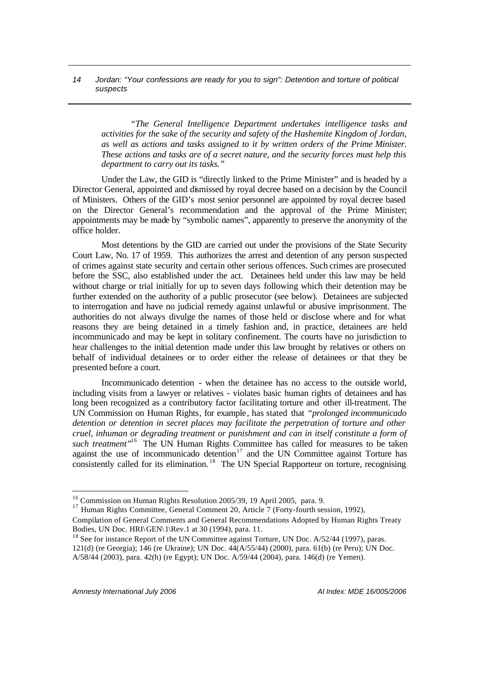*"The General Intelligence Department undertakes intelligence tasks and activities for the sake of the security and safety of the Hashemite Kingdom of Jordan, as well as actions and tasks assigned to it by written orders of the Prime Minister. These actions and tasks are of a secret nature, and the security forces must help this department to carry out its tasks."*

Under the Law, the GID is "directly linked to the Prime Minister" and is headed by a Director General, appointed and dismissed by royal decree based on a decision by the Council of Ministers. Others of the GID's most senior personnel are appointed by royal decree based on the Director General's recommendation and the approval of the Prime Minister; appointments may be made by "symbolic names", apparently to preserve the anonymity of the office holder.

Most detentions by the GID are carried out under the provisions of the State Security Court Law, No. 17 of 1959. This authorizes the arrest and detention of any person suspected of crimes against state security and certain other serious offences. Such crimes are prosecuted before the SSC, also established under the act. Detainees held under this law may be held without charge or trial initially for up to seven days following which their detention may be further extended on the authority of a public prosecutor (see below). Detainees are subjected to interrogation and have no judicial remedy against unlawful or abusive imprisonment. The authorities do not always divulge the names of those held or disclose where and for what reasons they are being detained in a timely fashion and, in practice, detainees are held incommunicado and may be kept in solitary confinement. The courts have no jurisdiction to hear challenges to the initial detention made under this law brought by relatives or others on behalf of individual detainees or to order either the release of detainees or that they be presented before a court.

Incommunicado detention - when the detainee has no access to the outside world, including visits from a lawyer or relatives - violates basic human rights of detainees and has long been recognized as a contributory factor facilitating torture and other ill-treatment. The UN Commission on Human Rights, for example, has stated that *"prolonged incommunicado detention or detention in secret places may facilitate the perpetration of torture and other cruel, inhuman or degrading treatment or punishment and can in itself constitute a form of such treatment"*<sup>16</sup> The UN Human Rights Committee has called for measures to be taken against the use of incommunicado detention $17$  and the UN Committee against Torture has consistently called for its elimination.<sup>18</sup> The UN Special Rapporteur on torture, recognising

<sup>16</sup> Commission on Human Rights Resolution 2005/39, 19 April 2005, para. 9.

<sup>&</sup>lt;sup>17</sup> Human Rights Committee, General Comment 20, Article 7 (Forty-fourth session, 1992),

Compilation of General Comments and General Recommendations Adopted by Human Rights Treaty Bodies, UN Doc. HRI\GEN\1\Rev.1 at 30 (1994), para. 11.

<sup>&</sup>lt;sup>18</sup> See for instance Report of the UN Committee against Torture, UN Doc. A/52/44 (1997), paras. 121(d) (re Georgia); 146 (re Ukraine); UN Doc. 44(A/55/44) (2000), para. 61(b) (re Peru); UN Doc. A/58/44 (2003), para. 42(h) (re Egypt); UN Doc. A/59/44 (2004), para. 146(d) (re Yemen).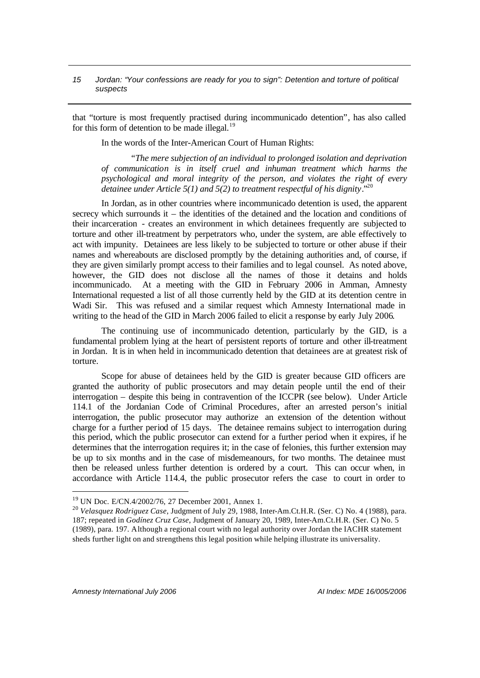that "torture is most frequently practised during incommunicado detention", has also called for this form of detention to be made illegal.<sup>19</sup>

In the words of the Inter-American Court of Human Rights:

*"The mere subjection of an individual to prolonged isolation and deprivation of communication is in itself cruel and inhuman treatment which harms the psychological and moral integrity of the person, and violates the right of every detainee under Article 5(1) and 5(2) to treatment respectful of his dignity*."<sup>20</sup>

In Jordan, as in other countries where incommunicado detention is used, the apparent secrecy which surrounds it – the identities of the detained and the location and conditions of their incarceration - creates an environment in which detainees frequently are subjected to torture and other ill-treatment by perpetrators who, under the system, are able effectively to act with impunity. Detainees are less likely to be subjected to torture or other abuse if their names and whereabouts are disclosed promptly by the detaining authorities and, of course, if they are given similarly prompt access to their families and to legal counsel. As noted above, however, the GID does not disclose all the names of those it detains and holds incommunicado. At a meeting with the GID in February 2006 in Amman, Amnesty International requested a list of all those currently held by the GID at its detention centre in Wadi Sir. This was refused and a similar request which Amnesty International made in writing to the head of the GID in March 2006 failed to elicit a response by early July 2006.

The continuing use of incommunicado detention, particularly by the GID, is a fundamental problem lying at the heart of persistent reports of torture and other ill-treatment in Jordan. It is in when held in incommunicado detention that detainees are at greatest risk of torture.

Scope for abuse of detainees held by the GID is greater because GID officers are granted the authority of public prosecutors and may detain people until the end of their interrogation – despite this being in contravention of the ICCPR (see below). Under Article 114.1 of the Jordanian Code of Criminal Procedures, after an arrested person's initial interrogation, the public prosecutor may authorize an extension of the detention without charge for a further period of 15 days. The detainee remains subject to interrogation during this period, which the public prosecutor can extend for a further period when it expires, if he determines that the interrogation requires it; in the case of felonies, this further extension may be up to six months and in the case of misdemeanours, for two months. The detainee must then be released unless further detention is ordered by a court. This can occur when, in accordance with Article 114.4, the public prosecutor refers the case to court in order to

<sup>19</sup> UN Doc. E/CN.4/2002/76, 27 December 2001, Annex 1.

<sup>20</sup> *Velasquez Rodriguez Case*, Judgment of July 29, 1988, Inter-Am.Ct.H.R. (Ser. C) No. 4 (1988), para. 187; repeated in *Godínez Cruz Case*, Judgment of January 20, 1989, Inter-Am.Ct.H.R. (Ser. C) No. 5 (1989), para. 197. Although a regional court with no legal authority over Jordan the IACHR statement sheds further light on and strengthens this legal position while helping illustrate its universality.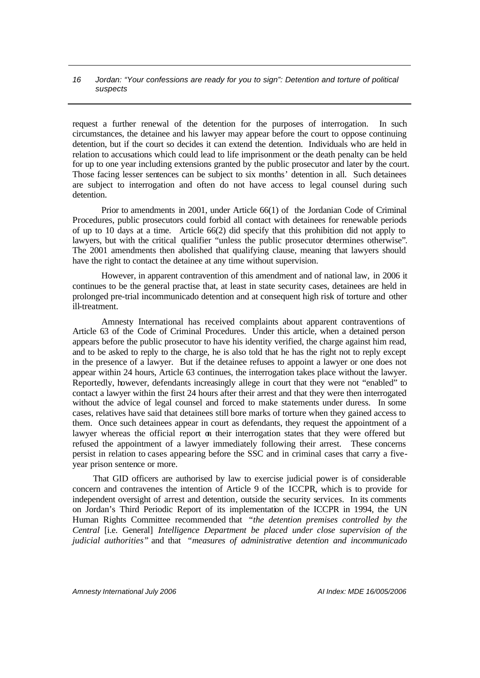request a further renewal of the detention for the purposes of interrogation. In such circumstances, the detainee and his lawyer may appear before the court to oppose continuing detention, but if the court so decides it can extend the detention. Individuals who are held in relation to accusations which could lead to life imprisonment or the death penalty can be held for up to one year including extensions granted by the public prosecutor and later by the court. Those facing lesser sentences can be subject to six months' detention in all. Such detainees are subject to interrogation and often do not have access to legal counsel during such detention.

Prior to amendments in 2001, under Article 66(1) of the Jordanian Code of Criminal Procedures, public prosecutors could forbid all contact with detainees for renewable periods of up to 10 days at a time. Article 66(2) did specify that this prohibition did not apply to lawyers, but with the critical qualifier "unless the public prosecutor determines otherwise". The 2001 amendments then abolished that qualifying clause, meaning that lawyers should have the right to contact the detainee at any time without supervision.

However, in apparent contravention of this amendment and of national law, in 2006 it continues to be the general practise that, at least in state security cases, detainees are held in prolonged pre-trial incommunicado detention and at consequent high risk of torture and other ill-treatment.

Amnesty International has received complaints about apparent contraventions of Article 63 of the Code of Criminal Procedures. Under this article, when a detained person appears before the public prosecutor to have his identity verified, the charge against him read, and to be asked to reply to the charge, he is also told that he has the right not to reply except in the presence of a lawyer. But if the detainee refuses to appoint a lawyer or one does not appear within 24 hours, Article 63 continues, the interrogation takes place without the lawyer. Reportedly, however, defendants increasingly allege in court that they were not "enabled" to contact a lawyer within the first 24 hours after their arrest and that they were then interrogated without the advice of legal counsel and forced to make statements under duress. In some cases, relatives have said that detainees still bore marks of torture when they gained access to them. Once such detainees appear in court as defendants, they request the appointment of a lawyer whereas the official report on their interrogation states that they were offered but refused the appointment of a lawyer immediately following their arrest. These concerns persist in relation to cases appearing before the SSC and in criminal cases that carry a fiveyear prison sentence or more.

That GID officers are authorised by law to exercise judicial power is of considerable concern and contravenes the intention of Article 9 of the ICCPR, which is to provide for independent oversight of arrest and detention, outside the security services. In its comments on Jordan's Third Periodic Report of its implementation of the ICCPR in 1994, the UN Human Rights Committee recommended that *"the detention premises controlled by the Central* [i.e. General] *Intelligence Department be placed under close supervision of the judicial authorities"* and that *"measures of administrative detention and incommunicado*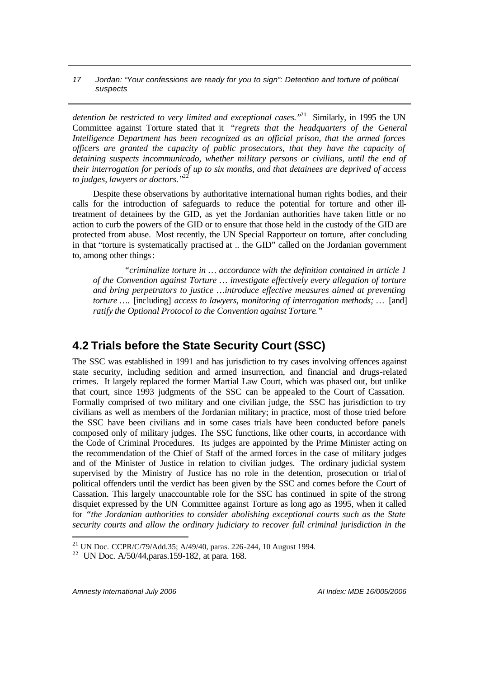*detention be restricted to very limited and exceptional cases."*<sup>21</sup> Similarly, in 1995 the UN Committee against Torture stated that it *"regrets that the headquarters of the General Intelligence Department has been recognized as an official prison, that the armed forces officers are granted the capacity of public prosecutors, that they have the capacity of detaining suspects incommunicado, whether military persons or civilians, until the end of their interrogation for periods of up to six months, and that detainees are deprived of access to judges, lawyers or doctors.*"

Despite these observations by authoritative international human rights bodies, and their calls for the introduction of safeguards to reduce the potential for torture and other illtreatment of detainees by the GID, as yet the Jordanian authorities have taken little or no action to curb the powers of the GID or to ensure that those held in the custody of the GID are protected from abuse. Most recently, the UN Special Rapporteur on torture, after concluding in that "torture is systematically practised at .. the GID" called on the Jordanian government to, among other things:

 *"criminalize torture in … accordance with the definition contained in article 1 of the Convention against Torture … investigate effectively every allegation of torture and bring perpetrators to justice …introduce effective measures aimed at preventing torture ….* [including] *access to lawyers, monitoring of interrogation methods; …* [and] *ratify the Optional Protocol to the Convention against Torture."*

# **4.2 Trials before the State Security Court (SSC)**

The SSC was established in 1991 and has jurisdiction to try cases involving offences against state security, including sedition and armed insurrection, and financial and drugs-related crimes. It largely replaced the former Martial Law Court, which was phased out, but unlike that court, since 1993 judgments of the SSC can be appealed to the Court of Cassation. Formally comprised of two military and one civilian judge, the SSC has jurisdiction to try civilians as well as members of the Jordanian military; in practice, most of those tried before the SSC have been civilians and in some cases trials have been conducted before panels composed only of military judges. The SSC functions, like other courts, in accordance with the Code of Criminal Procedures. Its judges are appointed by the Prime Minister acting on the recommendation of the Chief of Staff of the armed forces in the case of military judges and of the Minister of Justice in relation to civilian judges. The ordinary judicial system supervised by the Ministry of Justice has no role in the detention, prosecution or trial of political offenders until the verdict has been given by the SSC and comes before the Court of Cassation. This largely unaccountable role for the SSC has continued in spite of the strong disquiet expressed by the UN Committee against Torture as long ago as 1995, when it called for *"the Jordanian authorities to consider abolishing exceptional courts such as the State security courts and allow the ordinary judiciary to recover full criminal jurisdiction in the* 

*Amnesty International July 2006 AI Index: MDE 16/005/2006*

<sup>21</sup> UN Doc. CCPR/C/79/Add.35; A/49/40, paras. 226-244, 10 August 1994.

<sup>22</sup> UN Doc. A/50/44,paras.159-182, at para. 168.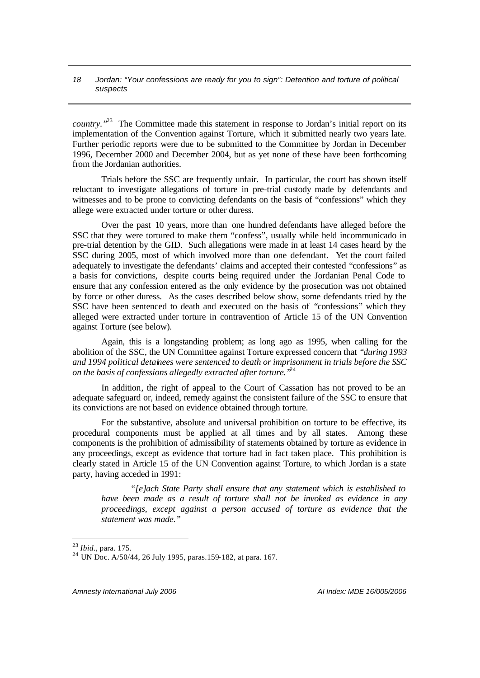*country.*<sup>"23</sup> The Committee made this statement in response to Jordan's initial report on its implementation of the Convention against Torture, which it submitted nearly two years late. Further periodic reports were due to be submitted to the Committee by Jordan in December 1996, December 2000 and December 2004, but as yet none of these have been forthcoming from the Jordanian authorities.

Trials before the SSC are frequently unfair. In particular, the court has shown itself reluctant to investigate allegations of torture in pre-trial custody made by defendants and witnesses and to be prone to convicting defendants on the basis of "confessions" which they allege were extracted under torture or other duress.

Over the past 10 years, more than one hundred defendants have alleged before the SSC that they were tortured to make them "confess", usually while held incommunicado in pre-trial detention by the GID. Such allegations were made in at least 14 cases heard by the SSC during 2005, most of which involved more than one defendant. Yet the court failed adequately to investigate the defendants' claims and accepted their contested "confessions" as a basis for convictions, despite courts being required under the Jordanian Penal Code to ensure that any confession entered as the only evidence by the prosecution was not obtained by force or other duress. As the cases described below show, some defendants tried by the SSC have been sentenced to death and executed on the basis of "confessions" which they alleged were extracted under torture in contravention of Article 15 of the UN Convention against Torture (see below).

Again, this is a longstanding problem; as long ago as 1995, when calling for the abolition of the SSC, the UN Committee against Torture expressed concern that *"during 1993 and 1994 political detainees were sentenced to death or imprisonment in trials before the SSC on the basis of confessions allegedly extracted after torture."*<sup>24</sup>

In addition, the right of appeal to the Court of Cassation has not proved to be an adequate safeguard or, indeed, remedy against the consistent failure of the SSC to ensure that its convictions are not based on evidence obtained through torture.

For the substantive, absolute and universal prohibition on torture to be effective, its procedural components must be applied at all times and by all states. Among these components is the prohibition of admissibility of statements obtained by torture as evidence in any proceedings, except as evidence that torture had in fact taken place. This prohibition is clearly stated in Article 15 of the UN Convention against Torture, to which Jordan is a state party, having acceded in 1991:

*"[e]ach State Party shall ensure that any statement which is established to have been made as a result of torture shall not be invoked as evidence in any proceedings, except against a person accused of torture as evidence that the statement was made."* 

l

*Amnesty International July 2006 AI Index: MDE 16/005/2006*

<sup>23</sup> *Ibid*., para. 175.

<sup>24</sup> UN Doc. A/50/44, 26 July 1995, paras.159-182, at para. 167.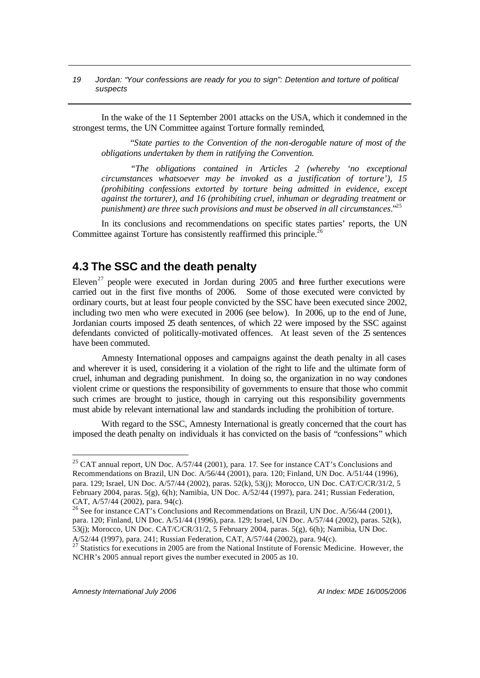In the wake of the 11 September 2001 attacks on the USA, which it condemned in the strongest terms, the UN Committee against Torture formally reminded,

"*State parties to the Convention of the non-derogable nature of most of the obligations undertaken by them in ratifying the Convention.* 

*"The obligations contained in Articles 2 (whereby 'no exceptional circumstances whatsoever may be invoked as a justification of torture'), 15 (prohibiting confessions extorted by torture being admitted in evidence, except against the torturer), and 16 (prohibiting cruel, inhuman or degrading treatment or punishment) are three such provisions and must be observed in all circumstances*."<sup>25</sup>

In its conclusions and recommendations on specific states parties' reports, the UN Committee against Torture has consistently reaffirmed this principle.<sup>26</sup>

# **4.3 The SSC and the death penalty**

Eleven<sup>27</sup> people were executed in Jordan during 2005 and three further executions were carried out in the first five months of 2006. Some of those executed were convicted by ordinary courts, but at least four people convicted by the SSC have been executed since 2002, including two men who were executed in 2006 (see below). In 2006, up to the end of June, Jordanian courts imposed 25 death sentences, of which 22 were imposed by the SSC against defendants convicted of politically-motivated offences. At least seven of the  $\mathfrak{D}$  sentences have been commuted.

Amnesty International opposes and campaigns against the death penalty in all cases and wherever it is used, considering it a violation of the right to life and the ultimate form of cruel, inhuman and degrading punishment. In doing so, the organization in no way condones violent crime or questions the responsibility of governments to ensure that those who commit such crimes are brought to justice, though in carrying out this responsibility governments must abide by relevant international law and standards including the prohibition of torture.

With regard to the SSC, Amnesty International is greatly concerned that the court has imposed the death penalty on individuals it has convicted on the basis of "confessions" which

 $25$  CAT annual report, UN Doc. A/57/44 (2001), para. 17. See for instance CAT's Conclusions and Recommendations on Brazil, UN Doc. A/56/44 (2001), para. 120; Finland, UN Doc. A/51/44 (1996), para. 129; Israel, UN Doc. A/57/44 (2002), paras. 52(k), 53(j); Morocco, UN Doc. CAT/C/CR/31/2, 5 February 2004, paras.  $5(g)$ ,  $6(h)$ ; Namibia, UN Doc.  $A/52/44$  (1997), para. 241; Russian Federation, CAT, A/57/44 (2002), para. 94(c).

<sup>&</sup>lt;sup>26</sup> See for instance CAT's Conclusions and Recommendations on Brazil, UN Doc. A/56/44 (2001), para. 120; Finland, UN Doc. A/51/44 (1996), para. 129; Israel, UN Doc. A/57/44 (2002), paras. 52(k), 53(j); Morocco, UN Doc. CAT/C/CR/31/2, 5 February 2004, paras. 5(g), 6(h); Namibia, UN Doc. A/52/44 (1997), para. 241; Russian Federation, CAT, A/57/44 (2002), para. 94(c).

 $^{27}$  Statistics for executions in 2005 are from the National Institute of Forensic Medicine. However, the NCHR's 2005 annual report gives the number executed in 2005 as 10.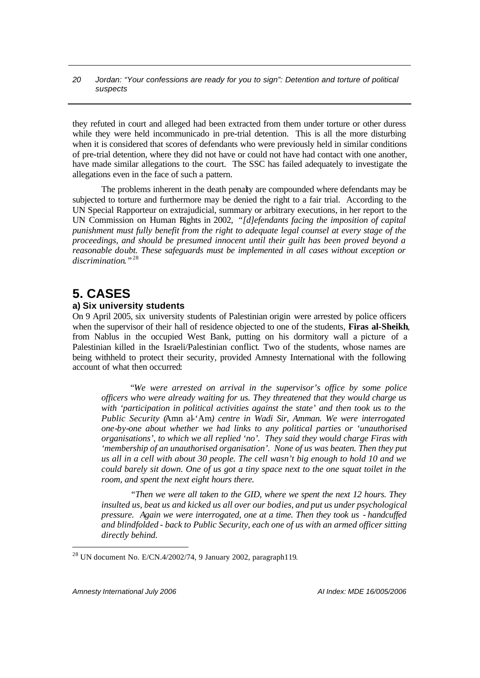they refuted in court and alleged had been extracted from them under torture or other duress while they were held incommunicado in pre-trial detention. This is all the more disturbing when it is considered that scores of defendants who were previously held in similar conditions of pre-trial detention, where they did not have or could not have had contact with one another, have made similar allegations to the court. The SSC has failed adequately to investigate the allegations even in the face of such a pattern.

The problems inherent in the death penalty are compounded where defendants may be subjected to torture and furthermore may be denied the right to a fair trial. According to the UN Special Rapporteur on extrajudicial, summary or arbitrary executions, in her report to the UN Commission on Human Rights in 2002, *"[d]efendants facing the imposition of capital punishment must fully benefit from the right to adequate legal counsel at every stage of the proceedings, and should be presumed innocent until their guilt has been proved beyond a reasonable doubt. These safeguards must be implemented in all cases without exception or discrimination."* 28

# **5. CASES**

# **a) Six university students**

On 9 April 2005, six university students of Palestinian origin were arrested by police officers when the supervisor of their hall of residence objected to one of the students, **Firas al-Sheikh**, from Nablus in the occupied West Bank, putting on his dormitory wall a picture of a Palestinian killed in the Israeli/Palestinian conflict. Two of the students, whose names are being withheld to protect their security, provided Amnesty International with the following account of what then occurred:

"*We were arrested on arrival in the supervisor's office by some police officers who were already waiting for us. They threatened that they would charge us with 'participation in political activities against the state' and then took us to the Public Security (*Amn al-'Am*) centre in Wadi Sir, Amman. We were interrogated one-by-one about whether we had links to any political parties or 'unauthorised organisations', to which we all replied 'no'. They said they would charge Firas with 'membership of an unauthorised organisation'. None of us was beaten. Then they put us all in a cell with about 30 people. The cell wasn't big enough to hold 10 and we could barely sit down. One of us got a tiny space next to the one squat toilet in the room, and spent the next eight hours there.* 

*"Then we were all taken to the GID, where we spent the next 12 hours. They insulted us, beat us and kicked us all over our bodies, and put us under psychological pressure. Again we were interrogated, one at a time. Then they took us - handcuffed and blindfolded - back to Public Security, each one of us with an armed officer sitting directly behind.*

<sup>28</sup> UN document No. E/CN.4/2002/74, 9 January 2002, paragraph119.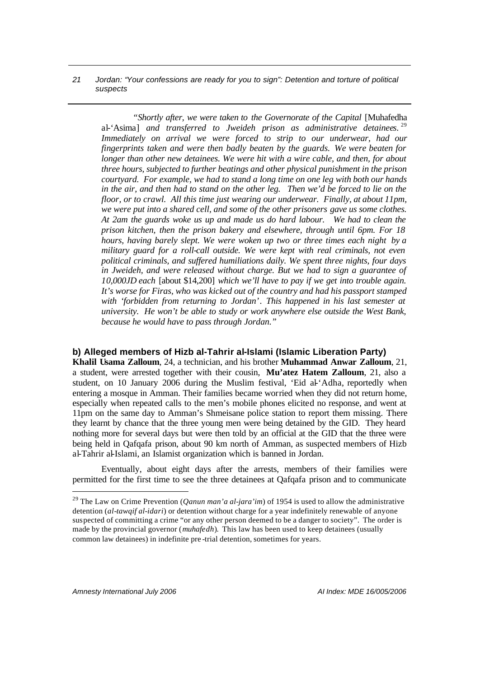*"Shortly after, we were taken to the Governorate of the Capital* [Muhafedha al-'Asima] *and transferred to Jweideh prison as administrative detainees.*<sup>29</sup> *Immediately on arrival we were forced to strip to our underwear, had our fingerprints taken and were then badly beaten by the guards. We were beaten for longer than other new detainees. We were hit with a wire cable, and then, for about three hours, subjected to further beatings and other physical punishment in the prison courtyard. For example, we had to stand a long time on one leg with both our hands in the air, and then had to stand on the other leg. Then we'd be forced to lie on the floor, or to crawl. All this time just wearing our underwear. Finally, at about 11pm, we were put into a shared cell, and some of the other prisoners gave us some clothes. At 2am the guards woke us up and made us do hard labour. We had to clean the prison kitchen, then the prison bakery and elsewhere, through until 6pm. For 18 hours, having barely slept. We were woken up two or three times each night by a military guard for a roll-call outside. We were kept with real criminals, not even political criminals, and suffered humiliations daily. We spent three nights, four days in Jweideh, and were released without charge. But we had to sign a guarantee of 10,000JD each* [about \$14,200] *which we'll have to pay if we get into trouble again. It's worse for Firas, who was kicked out of the country and had his passport stamped with 'forbidden from returning to Jordan'*. *This happened in his last semester at university. He won't be able to study or work anywhere else outside the West Bank, because he would have to pass through Jordan."*

### **b) Alleged members of Hizb al-Tahrir al-Islami (Islamic Liberation Party)**

**Khalil Usama Zalloum**, 24, a technician, and his brother **Muhammad Anwar Zalloum**, 21, a student, were arrested together with their cousin, **Mu'atez Hatem Zalloum**, 21, also a student, on 10 January 2006 during the Muslim festival, 'Eid al-'Adha, reportedly when entering a mosque in Amman. Their families became worried when they did not return home, especially when repeated calls to the men's mobile phones elicited no response, and went at 11pm on the same day to Amman's Shmeisane police station to report them missing. There they learnt by chance that the three young men were being detained by the GID. They heard nothing more for several days but were then told by an official at the GID that the three were being held in Qafqafa prison, about 90 km north of Amman, as suspected members of Hizb al-Tahrir al-Islami, an Islamist organization which is banned in Jordan.

Eventually, about eight days after the arrests, members of their families were permitted for the first time to see the three detainees at Qafqafa prison and to communicate

<sup>29</sup> The Law on Crime Prevention (*Qanun man'a al-jara'im*) of 1954 is used to allow the administrative detention (*al-tawqif al-idari*) or detention without charge for a year indefinitely renewable of anyone suspected of committing a crime "or any other person deemed to be a danger to society". The order is made by the provincial governor (*muhafedh*). This law has been used to keep detainees (usually common law detainees) in indefinite pre -trial detention, sometimes for years.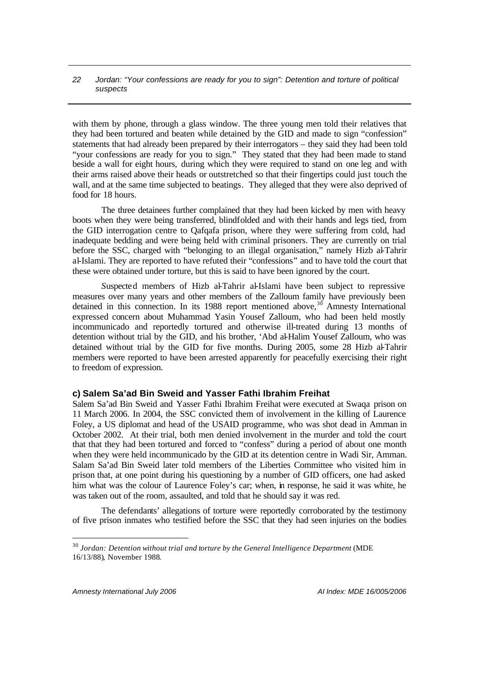with them by phone, through a glass window. The three young men told their relatives that they had been tortured and beaten while detained by the GID and made to sign "confession" statements that had already been prepared by their interrogators – they said they had been told "your confessions are ready for you to sign." They stated that they had been made to stand beside a wall for eight hours, during which they were required to stand on one leg and with their arms raised above their heads or outstretched so that their fingertips could just touch the wall, and at the same time subjected to beatings. They alleged that they were also deprived of food for 18 hours.

The three detainees further complained that they had been kicked by men with heavy boots when they were being transferred, blindfolded and with their hands and legs tied, from the GID interrogation centre to Qafqafa prison, where they were suffering from cold, had inadequate bedding and were being held with criminal prisoners. They are currently on trial before the SSC, charged with "belonging to an illegal organisation," namely Hizb al-Tahrir al-Islami. They are reported to have refuted their "confessions" and to have told the court that these were obtained under torture, but this is said to have been ignored by the court.

*S*uspected members of Hizb al-Tahrir al-Islami have been subject to repressive measures over many years and other members of the Zalloum family have previously been detained in this connection. In its 1988 report mentioned above,  $30^{\circ}$  Amnesty International expressed concern about Muhammad Yasin Yousef Zalloum, who had been held mostly incommunicado and reportedly tortured and otherwise ill-treated during 13 months of detention without trial by the GID, and his brother, 'Abd al-Halim Yousef Zalloum, who was detained without trial by the GID for five months. During 2005, some 28 Hizb al-Tahrir members were reported to have been arrested apparently for peacefully exercising their right to freedom of expression.

### **c) Salem Sa'ad Bin Sweid and Yasser Fathi Ibrahim Freihat**

Salem Sa'ad Bin Sweid and Yasser Fathi Ibrahim Freihat were executed at Swaqa prison on 11 March 2006. In 2004, the SSC convicted them of involvement in the killing of Laurence Foley, a US diplomat and head of the USAID programme, who was shot dead in Amman in October 2002. At their trial, both men denied involvement in the murder and told the court that that they had been tortured and forced to "confess" during a period of about one month when they were held incommunicado by the GID at its detention centre in Wadi Sir, Amman. Salam Sa'ad Bin Sweid later told members of the Liberties Committee who visited him in prison that, at one point during his questioning by a number of GID officers, one had asked him what was the colour of Laurence Foley's car; when, in response, he said it was white, he was taken out of the room, assaulted, and told that he should say it was red.

The defendants' allegations of torture were reportedly corroborated by the testimony of five prison inmates who testified before the SSC that they had seen injuries on the bodies

<sup>&</sup>lt;sup>30</sup> Jordan: Detention without trial and torture by the General Intelligence Department (MDE 16/13/88), November 1988.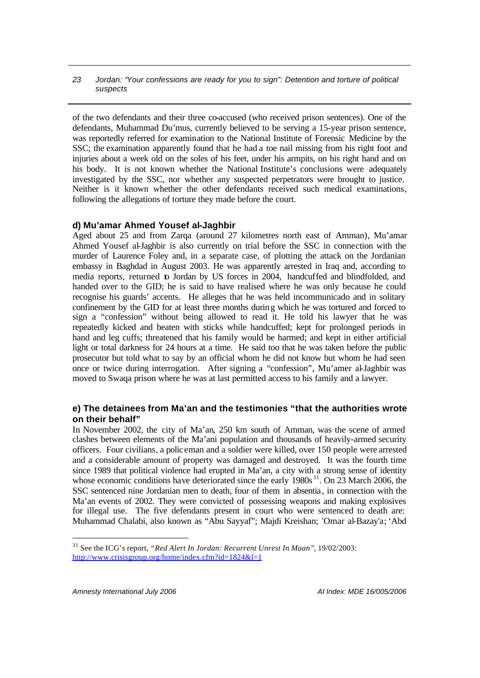of the two defendants and their three co-accused (who received prison sentences). One of the defendants, Muhammad Du'mus, currently believed to be serving a 15-year prison sentence, was reportedly referred for examination to the National Institute of Forensic Medicine by the SSC; the examination apparently found that he had a toe nail missing from his right foot and injuries about a week old on the soles of his feet, under his armpits, on his right hand and on his body. It is not known whether the National Institute's conclusions were adequately investigated by the SSC, nor whether any suspected perpetrators were brought to justice. Neither is it known whether the other defendants received such medical examinations, following the allegations of torture they made before the court.

#### **d) Mu'amar Ahmed Yousef al-Jaghbir**

Aged about 25 and from Zarqa (around 27 kilometres north east of Amman), Mu'amar Ahmed Yousef al-Jaghbir is also currently on trial before the SSC in connection with the murder of Laurence Foley and, in a separate case, of plotting the attack on the Jordanian embassy in Baghdad in August 2003. He was apparently arrested in Iraq and, according to media reports, returned to Jordan by US forces in 2004, handcuffed and blindfolded, and handed over to the GID; he is said to have realised where he was only because he could recognise his guards' accents. He alleges that he was held incommunicado and in solitary confinement by the GID for at least three months during which he was tortured and forced to sign a "confession" without being allowed to read it. He told his lawyer that he was repeatedly kicked and beaten with sticks while handcuffed; kept for prolonged periods in hand and leg cuffs; threatened that his family would be harmed; and kept in either artificial light or total darkness for 24 hours at a time. He said too that he was taken before the public prosecutor but told what to say by an official whom he did not know but whom he had seen once or twice during interrogation. After signing a "confession", Mu'amer al-Jaghbir was moved to Swaqa prison where he was at last permitted access to his family and a lawyer.

# **e) The detainees from Ma'an and the testimonies "that the authorities wrote on their behalf"**

In November 2002, the city of Ma'an, 250 km south of Amman, was the scene of armed clashes between elements of the Ma'ani population and thousands of heavily-armed security officers. Four civilians, a policeman and a soldier were killed, over 150 people were arrested and a considerable amount of property was damaged and destroyed. It was the fourth time since 1989 that political violence had erupted in Ma'an, a city with a strong sense of identity whose economic conditions have deteriorated since the early 1980s<sup>31</sup>. On 23 March 2006, the SSC sentenced nine Jordanian men to death, four of them in absentia, in connection with the Ma'an events of 2002. They were convicted of possessing weapons and making explosives for illegal use. The five defendants present in court who were sentenced to death are: Muhammad Chalabi, also known as "Abu Sayyaf"; Majdi Kreishan; 'Omar al-Bazay'a; 'Abd

<sup>31</sup> See the ICG's report, *"Red Alert In Jordan: Recurrent Unrest In Maan"*, 19/02/2003: http://www.crisisgroup.org/home/index.cfm?id=1824&l=1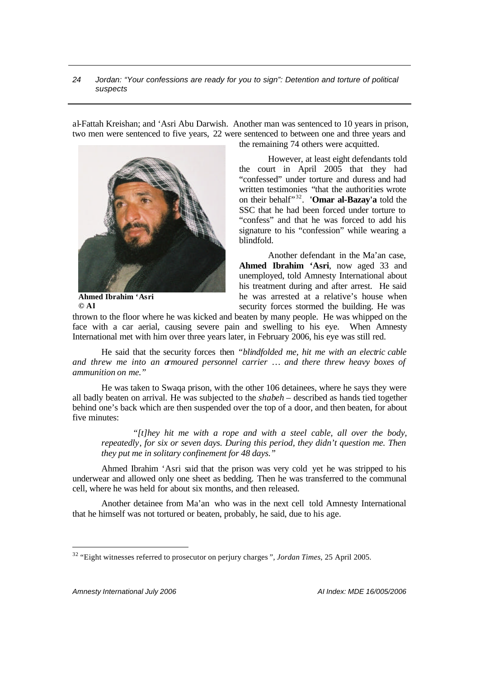al-Fattah Kreishan; and 'Asri Abu Darwish. Another man was sentenced to 10 years in prison, two men were sentenced to five years, 22 were sentenced to between one and three years and



**Ahmed Ibrahim 'Asri © AI**

the remaining 74 others were acquitted.

However, at least eight defendants told the court in April 2005 that they had "confessed" under torture and duress and had written testimonies "that the authorities wrote on their behalf" 32 . **'Omar al-Bazay'a** told the SSC that he had been forced under torture to "confess" and that he was forced to add his signature to his "confession" while wearing a blindfold.

Another defendant in the Ma'an case, **Ahmed Ibrahim 'Asri**, now aged 33 and unemployed, told Amnesty International about his treatment during and after arrest. He said he was arrested at a relative's house when security forces stormed the building. He was

thrown to the floor where he was kicked and beaten by many people. He was whipped on the face with a car aerial, causing severe pain and swelling to his eye. When Amnesty International met with him over three years later, in February 2006, his eye was still red.

He said that the security forces then *"blindfolded me, hit me with an electric cable and threw me into an armoured personnel carrier … and there threw heavy boxes of ammunition on me."* 

He was taken to Swaqa prison, with the other 106 detainees, where he says they were all badly beaten on arrival. He was subjected to the *shabeh* – described as hands tied together behind one's back which are then suspended over the top of a door, and then beaten, for about five minutes:

*"[t]hey hit me with a rope and with a steel cable, all over the body, repeatedly, for six or seven days. During this period, they didn't question me. Then they put me in solitary confinement for 48 days."* 

Ahmed Ibrahim 'Asri said that the prison was very cold yet he was stripped to his underwear and allowed only one sheet as bedding. Then he was transferred to the communal cell, where he was held for about six months, and then released.

Another detainee from Ma'an who was in the next cell told Amnesty International that he himself was not tortured or beaten, probably, he said, due to his age.

*Amnesty International July 2006 AI Index: MDE 16/005/2006*

<sup>32</sup> "Eight witnesses referred to prosecutor on perjury charges*", Jordan Times*, 25 April 2005.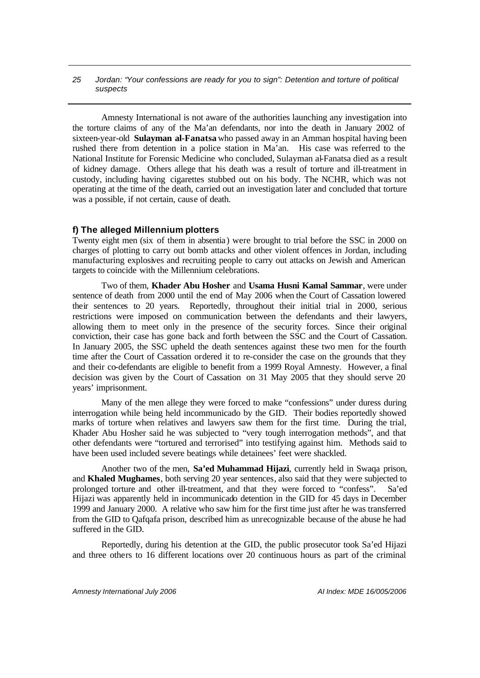Amnesty International is not aware of the authorities launching any investigation into the torture claims of any of the Ma'an defendants, nor into the death in January 2002 of sixteen-year-old **Sulayman al-Fanatsa** who passed away in an Amman hospital having been rushed there from detention in a police station in Ma'an. His case was referred to the National Institute for Forensic Medicine who concluded, Sulayman al-Fanatsa died as a result of kidney damage. Others allege that his death was a result of torture and ill-treatment in custody, including having cigarettes stubbed out on his body. The NCHR, which was not operating at the time of the death, carried out an investigation later and concluded that torture was a possible, if not certain, cause of death.

### **f) The alleged Millennium plotters**

Twenty eight men (six of them in absentia) were brought to trial before the SSC in 2000 on charges of plotting to carry out bomb attacks and other violent offences in Jordan, including manufacturing explosives and recruiting people to carry out attacks on Jewish and American targets to coincide with the Millennium celebrations.

Two of them, **Khader Abu Hosher** and **Usama Husni Kamal Sammar**, were under sentence of death from 2000 until the end of May 2006 when the Court of Cassation lowered their sentences to 20 years. Reportedly, throughout their initial trial in 2000, serious restrictions were imposed on communication between the defendants and their lawyers, allowing them to meet only in the presence of the security forces. Since their original conviction, their case has gone back and forth between the SSC and the Court of Cassation. In January 2005, the SSC upheld the death sentences against these two men for the fourth time after the Court of Cassation ordered it to re-consider the case on the grounds that they and their co-defendants are eligible to benefit from a 1999 Royal Amnesty. However, a final decision was given by the Court of Cassation on 31 May 2005 that they should serve 20 years' imprisonment.

Many of the men allege they were forced to make "confessions" under duress during interrogation while being held incommunicado by the GID. Their bodies reportedly showed marks of torture when relatives and lawyers saw them for the first time. During the trial, Khader Abu Hosher said he was subjected to "very tough interrogation methods", and that other defendants were "tortured and terrorised" into testifying against him. Methods said to have been used included severe beatings while detainees' feet were shackled.

Another two of the men, **Sa'ed Muhammad Hijazi**, currently held in Swaqa prison, and **Khaled Mughames**, both serving 20 year sentences, also said that they were subjected to prolonged torture and other ill-treatment, and that they were forced to "confess". Sa'ed Hijazi was apparently held in incommunicado detention in the GID for 45 days in December 1999 and January 2000. A relative who saw him for the first time just after he was transferred from the GID to Qafqafa prison, described him as unrecognizable because of the abuse he had suffered in the GID.

Reportedly, during his detention at the GID, the public prosecutor took Sa'ed Hijazi and three others to 16 different locations over 20 continuous hours as part of the criminal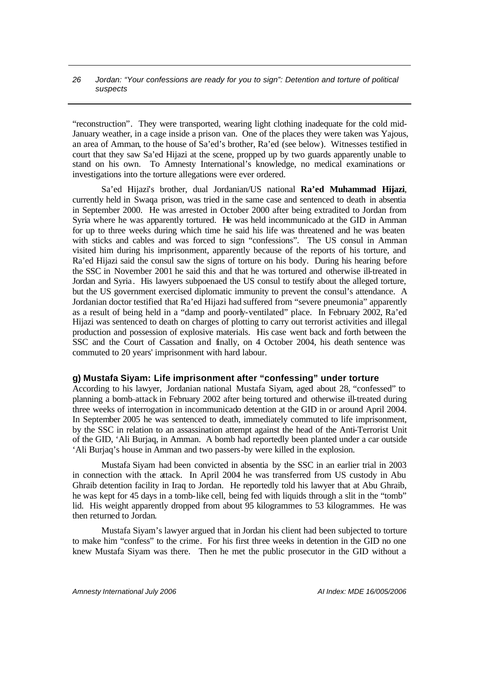"reconstruction". They were transported, wearing light clothing inadequate for the cold mid-January weather, in a cage inside a prison van. One of the places they were taken was Yajous, an area of Amman, to the house of Sa'ed's brother, Ra'ed (see below). Witnesses testified in court that they saw Sa'ed Hijazi at the scene, propped up by two guards apparently unable to stand on his own. To Amnesty International's knowledge, no medical examinations or investigations into the torture allegations were ever ordered.

Sa'ed Hijazi's brother, dual Jordanian/US national **Ra'ed Muhammad Hijazi**, currently held in Swaqa prison, was tried in the same case and sentenced to death in absentia in September 2000. He was arrested in October 2000 after being extradited to Jordan from Syria where he was apparently tortured. He was held incommunicado at the GID in Amman for up to three weeks during which time he said his life was threatened and he was beaten with sticks and cables and was forced to sign "confessions". The US consul in Amman visited him during his imprisonment, apparently because of the reports of his torture, and Ra'ed Hijazi said the consul saw the signs of torture on his body. During his hearing before the SSC in November 2001 he said this and that he was tortured and otherwise ill-treated in Jordan and Syria. His lawyers subpoenaed the US consul to testify about the alleged torture, but the US government exercised diplomatic immunity to prevent the consul's attendance. A Jordanian doctor testified that Ra'ed Hijazi had suffered from "severe pneumonia" apparently as a result of being held in a "damp and poorly-ventilated" place. In February 2002, Ra'ed Hijazi was sentenced to death on charges of plotting to carry out terrorist activities and illegal production and possession of explosive materials. His case went back and forth between the SSC and the Court of Cassation and finally, on 4 October 2004, his death sentence was commuted to 20 years' imprisonment with hard labour.

### **g) Mustafa Siyam: Life imprisonment after "confessing" under torture**

According to his lawyer, Jordanian national Mustafa Siyam, aged about 28, "confessed" to planning a bomb attack in February 2002 after being tortured and otherwise ill-treated during three weeks of interrogation in incommunicado detention at the GID in or around April 2004. In September 2005 he was sentenced to death, immediately commuted to life imprisonment, by the SSC in relation to an assassination attempt against the head of the Anti-Terrorist Unit of the GID, 'Ali Burjaq, in Amman. A bomb had reportedly been planted under a car outside 'Ali Burjaq's house in Amman and two passers-by were killed in the explosion.

Mustafa Siyam had been convicted in absentia by the SSC in an earlier trial in 2003 in connection with the attack. In April 2004 he was transferred from US custody in Abu Ghraib detention facility in Iraq to Jordan. He reportedly told his lawyer that at Abu Ghraib, he was kept for 45 days in a tomb-like cell, being fed with liquids through a slit in the "tomb" lid. His weight apparently dropped from about 95 kilogrammes to 53 kilogrammes. He was then returned to Jordan.

Mustafa Siyam's lawyer argued that in Jordan his client had been subjected to torture to make him "confess" to the crime. For his first three weeks in detention in the GID no one knew Mustafa Siyam was there. Then he met the public prosecutor in the GID without a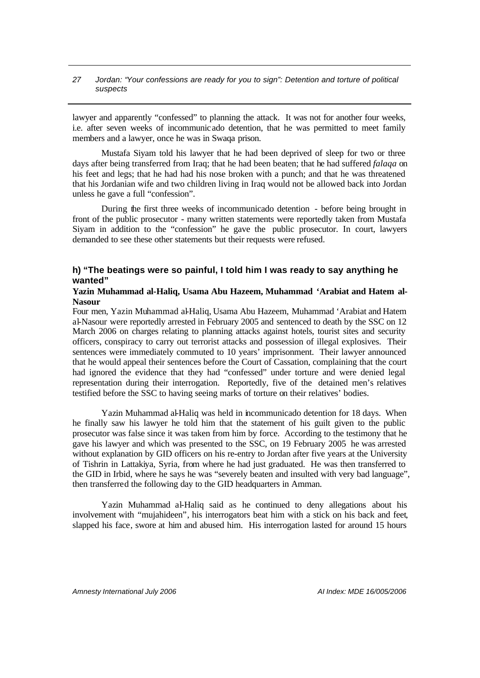lawyer and apparently "confessed" to planning the attack. It was not for another four weeks, i.e. after seven weeks of incommunicado detention, that he was permitted to meet family members and a lawyer, once he was in Swaqa prison.

Mustafa Siyam told his lawyer that he had been deprived of sleep for two or three days after being transferred from Iraq; that he had been beaten; that he had suffered *falaqa* on his feet and legs; that he had had his nose broken with a punch; and that he was threatened that his Jordanian wife and two children living in Iraq would not be allowed back into Jordan unless he gave a full "confession".

During the first three weeks of incommunicado detention - before being brought in front of the public prosecutor - many written statements were reportedly taken from Mustafa Siyam in addition to the "confession" he gave the public prosecutor. In court, lawyers demanded to see these other statements but their requests were refused.

# **h) "The beatings were so painful, I told him I was ready to say anything he wanted"**

#### **Yazin Muhammad al-Haliq, Usama Abu Hazeem, Muhammad 'Arabiat and Hatem al-Nasour**

Four men, Yazin Muhammad al-Haliq, Usama Abu Hazeem, Muhammad 'Arabiat and Hatem al-Nasour were reportedly arrested in February 2005 and sentenced to death by the SSC on 12 March 2006 on charges relating to planning attacks against hotels, tourist sites and security officers, conspiracy to carry out terrorist attacks and possession of illegal explosives. Their sentences were immediately commuted to 10 years' imprisonment. Their lawyer announced that he would appeal their sentences before the Court of Cassation, complaining that the court had ignored the evidence that they had "confessed" under torture and were denied legal representation during their interrogation. Reportedly, five of the detained men's relatives testified before the SSC to having seeing marks of torture on their relatives' bodies.

Yazin Muhammad al-Haliq was held in incommunicado detention for 18 days. When he finally saw his lawyer he told him that the statement of his guilt given to the public prosecutor was false since it was taken from him by force. According to the testimony that he gave his lawyer and which was presented to the SSC, on 19 February 2005 he was arrested without explanation by GID officers on his re-entry to Jordan after five years at the University of Tishrin in Lattakiya, Syria, from where he had just graduated. He was then transferred to the GID in Irbid, where he says he was "severely beaten and insulted with very bad language", then transferred the following day to the GID headquarters in Amman.

Yazin Muhammad al-Haliq said as he continued to deny allegations about his involvement with "mujahideen", his interrogators beat him with a stick on his back and feet, slapped his face, swore at him and abused him. His interrogation lasted for around 15 hours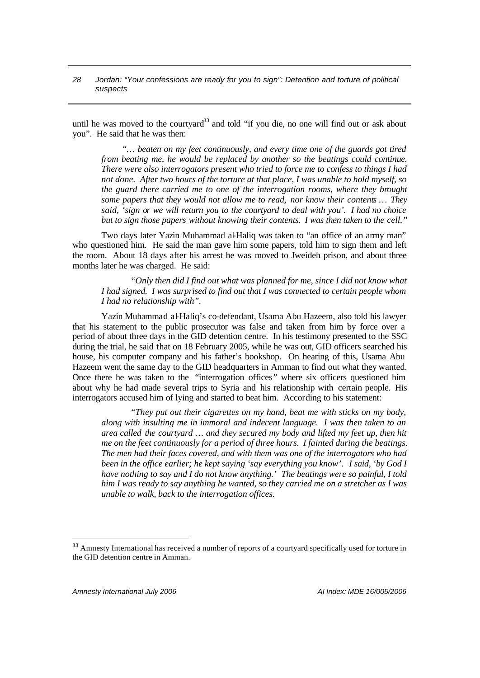until he was moved to the courtyard<sup>33</sup> and told "if you die, no one will find out or ask about you". He said that he was then:

*"… beaten on my feet continuously, and every time one of the guards got tired from beating me, he would be replaced by another so the beatings could continue. There were also interrogators present who tried to force me to confess to things I had not done. After two hours of the torture at that place, I was unable to hold myself, so the guard there carried me to one of the interrogation rooms, where they brought some papers that they would not allow me to read, nor know their contents … They said, 'sign or we will return you to the courtyard to deal with you'. I had no choice but to sign those papers without knowing their contents. I was then taken to the cell."*

Two days later Yazin Muhammad al-Haliq was taken to "an office of an army man" who questioned him. He said the man gave him some papers, told him to sign them and left the room. About 18 days after his arrest he was moved to Jweideh prison, and about three months later he was charged. He said:

*"Only then did I find out what was planned for me, since I did not know what I had signed. I was surprised to find out that I was connected to certain people whom I had no relationship with".* 

Yazin Muhammad al-Haliq's co-defendant, Usama Abu Hazeem, also told his lawyer that his statement to the public prosecutor was false and taken from him by force over a period of about three days in the GID detention centre. In his testimony presented to the SSC during the trial, he said that on 18 February 2005, while he was out, GID officers searched his house, his computer company and his father's bookshop. On hearing of this, Usama Abu Hazeem went the same day to the GID headquarters in Amman to find out what they wanted. Once there he was taken to the "interrogation offices*"* where six officers questioned him about why he had made several trips to Syria and his relationship with certain people. His interrogators accused him of lying and started to beat him. According to his statement:

*"They put out their cigarettes on my hand, beat me with sticks on my body, along with insulting me in immoral and indecent language. I was then taken to an area called the courtyard … and they secured my body and lifted my feet up, then hit me on the feet continuously for a period of three hours. I fainted during the beatings. The men had their faces covered, and with them was one of the interrogators who had been in the office earlier; he kept saying 'say everything you know'. I said, 'by God I have nothing to say and I do not know anything.' The beatings were so painful, I told him I was ready to say anything he wanted, so they carried me on a stretcher as I was unable to walk, back to the interrogation offices.*

<sup>&</sup>lt;sup>33</sup> Amnesty International has received a number of reports of a courtyard specifically used for torture in the GID detention centre in Amman.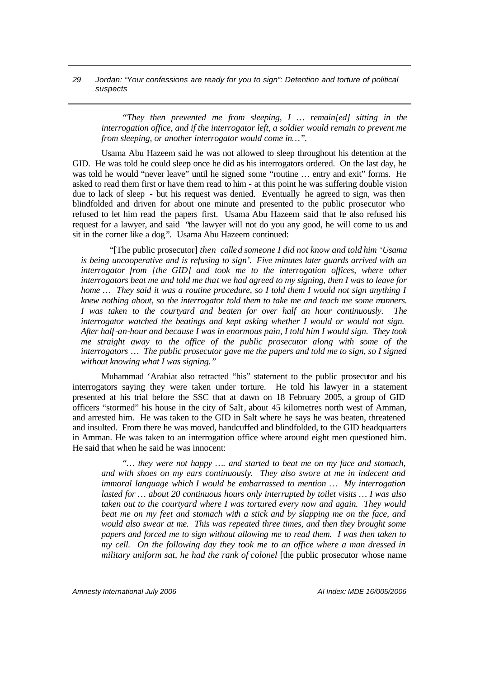*"They then prevented me from sleeping, I … remain[ed] sitting in the interrogation office, and if the interrogator left, a soldier would remain to prevent me from sleeping, or another interrogator would come in…".*

Usama Abu Hazeem said he was not allowed to sleep throughout his detention at the GID. He was told he could sleep once he did as his interrogators ordered. On the last day, he was told he would "never leave" until he signed some "routine … entry and exit" forms. He asked to read them first or have them read to him - at this point he was suffering double vision due to lack of sleep - but his request was denied. Eventually he agreed to sign, was then blindfolded and driven for about one minute and presented to the public prosecutor who refused to let him read the papers first. Usama Abu Hazeem said that he also refused his request for a lawyer, and said "the lawyer will not do you any good, he will come to us and sit in the corner like a dog*".* Usama Abu Hazeem continued:

"[The public prosecutor] *then called someone I did not know and told him 'Usama is being uncooperative and is refusing to sign'. Five minutes later guards arrived with an interrogator from [the GID] and took me to the interrogation offices, where other interrogators beat me and told me that we had agreed to my signing, then I was to leave for home* ... They said it was a routine procedure, so I told them I would not sign anything I *knew nothing about, so the interrogator told them to take me and teach me some manners. I was taken to the courtyard and beaten for over half an hour continuously. The interrogator watched the beatings and kept asking whether I would or would not sign. After half-an-hour and because I was in enormous pain, I told him I would sign. They took me straight away to the office of the public prosecutor along with some of the interrogators … The public prosecutor gave me the papers and told me to sign, so I signed without knowing what I was signing."*

Muhammad 'Arabiat also retracted "his" statement to the public prosecutor and his interrogators saying they were taken under torture. He told his lawyer in a statement presented at his trial before the SSC that at dawn on 18 February 2005, a group of GID officers "stormed" his house in the city of Salt, about 45 kilometres north west of Amman, and arrested him. He was taken to the GID in Salt where he says he was beaten, threatened and insulted. From there he was moved, handcuffed and blindfolded, to the GID headquarters in Amman. He was taken to an interrogation office where around eight men questioned him. He said that when he said he was innocent:

*"… they were not happy …. and started to beat me on my face and stomach, and with shoes on my ears continuously. They also swore at me in indecent and immoral language which I would be embarrassed to mention … My interrogation lasted for … about 20 continuous hours only interrupted by toilet visits … I was also taken out to the courtyard where I was tortured every now and again. They would beat me on my feet and stomach with a stick and by slapping me on the face, and would also swear at me. This was repeated three times, and then they brought some papers and forced me to sign without allowing me to read them. I was then taken to my cell. On the following day they took me to an office where a man dressed in military uniform sat, he had the rank of colonel* [the public prosecutor whose name

*Amnesty International July 2006 AI Index: MDE 16/005/2006*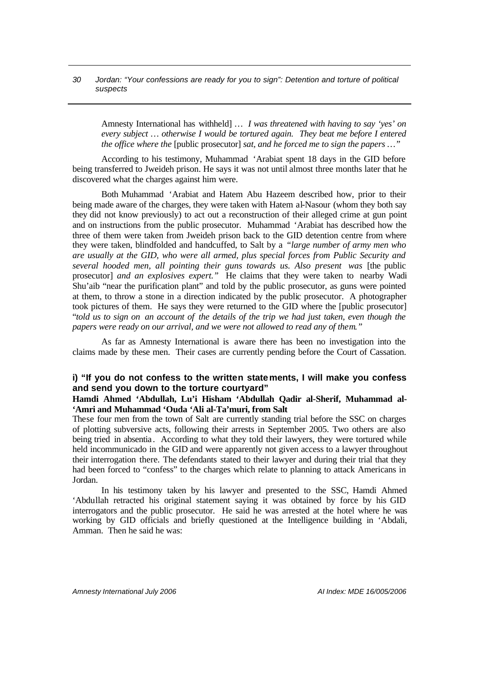Amnesty International has withheld] *… I was threatened with having to say 'yes' on every subject … otherwise I would be tortured again. They beat me before I entered the office where the [public prosecutor] sat, and he forced me to sign the papers ...*'

According to his testimony, Muhammad 'Arabiat spent 18 days in the GID before being transferred to Jweideh prison. He says it was not until almost three months later that he discovered what the charges against him were.

Both Muhammad 'Arabiat and Hatem Abu Hazeem described how, prior to their being made aware of the charges, they were taken with Hatem al-Nasour (whom they both say they did not know previously) to act out a reconstruction of their alleged crime at gun point and on instructions from the public prosecutor. Muhammad 'Arabiat has described how the three of them were taken from Jweideh prison back to the GID detention centre from where they were taken, blindfolded and handcuffed, to Salt by a *"large number of army men who are usually at the GID, who were all armed, plus special forces from Public Security and several hooded men, all pointing their guns towards us. Also present was* [the public prosecutor] *and an explosives expert."* He claims that they were taken to nearby Wadi Shu'aib "near the purification plant" and told by the public prosecutor, as guns were pointed at them, to throw a stone in a direction indicated by the public prosecutor. A photographer took pictures of them. He says they were returned to the GID where the [public prosecutor] "*told us to sign on an account of the details of the trip we had just taken, even though the papers were ready on our arrival, and we were not allowed to read any of them."*

As far as Amnesty International is aware there has been no investigation into the claims made by these men. Their cases are currently pending before the Court of Cassation.

### **i) "If you do not confess to the written statements, I will make you confess and send you down to the torture courtyard"**

### **Hamdi Ahmed 'Abdullah, Lu'i Hisham 'Abdullah Qadir al-Sherif, Muhammad al- 'Amri and Muhammad 'Ouda 'Ali al-Ta'muri, from Salt**

These four men from the town of Salt are currently standing trial before the SSC on charges of plotting subversive acts, following their arrests in September 2005. Two others are also being tried in absentia. According to what they told their lawyers, they were tortured while held incommunicado in the GID and were apparently not given access to a lawyer throughout their interrogation there. The defendants stated to their lawyer and during their trial that they had been forced to "confess" to the charges which relate to planning to attack Americans in Jordan.

In his testimony taken by his lawyer and presented to the SSC, Hamdi Ahmed 'Abdullah retracted his original statement saying it was obtained by force by his GID interrogators and the public prosecutor. He said he was arrested at the hotel where he was working by GID officials and briefly questioned at the Intelligence building in 'Abdali, Amman. Then he said he was: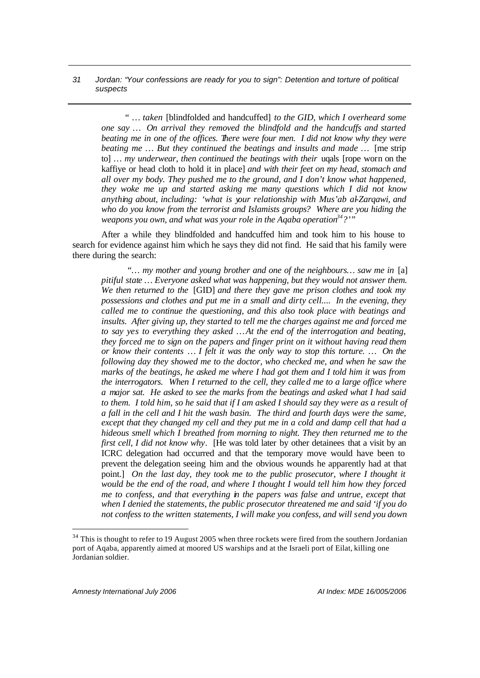*" … taken* [blindfolded and handcuffed] *to the GID, which I overheard some one say … On arrival they removed the blindfold and the handcuffs and started beating me in one of the offices. There were four men. I did not know why they were beating me … But they continued the beatings and insults and made …* [me strip to] ... *my underwear, then continued the beatings with their* ugals [rope worn on the kaffiye or head cloth to hold it in place] *and with their feet on my head, stomach and all over my body. They pushed me to the ground, and I don't know what happened, they woke me up and started asking me many questions which I did not know anything about, including: 'what is your relationship with Mus'ab al-Zarqawi, and who do you know from the terrorist and Islamists groups? Where are you hiding the weapons you own, and what was your role in the Aqaba operation<sup>34</sup>?'"* 

After a while they blindfolded and handcuffed him and took him to his house to search for evidence against him which he says they did not find. He said that his family were there during the search:

*"… my mother and young brother and one of the neighbours… saw me in* [a] *pitiful state … Everyone asked what was happening, but they would not answer them. We then returned to the* [GID] *and there they gave me prison clothes and took my possessions and clothes and put me in a small and dirty cell.... In the evening, they called me to continue the questioning, and this also took place with beatings and insults. After giving up, they started to tell me the charges against me and forced me to say yes to everything they asked … At the end of the interrogation and beating, they forced me to sign on the papers and finger print on it without having read them or know their contents … I felt it was the only way to stop this torture. … On the following day they showed me to the doctor, who checked me, and when he saw the marks of the beatings, he asked me where I had got them and I told him it was from the interrogators. When I returned to the cell, they called me to a large office where a major sat. He asked to see the marks from the beatings and asked what I had said to them. I told him, so he said that if I am asked I should say they were as a result of a fall in the cell and I hit the wash basin. The third and fourth days were the same, except that they changed my cell and they put me in a cold and damp cell that had a hideous smell which I breathed from morning to night. They then returned me to the first cell, I did not know why.* [He was told later by other detainees that a visit by an ICRC delegation had occurred and that the temporary move would have been to prevent the delegation seeing him and the obvious wounds he apparently had at that point.] On the last day, they took me to the public prosecutor, where I thought it *would be the end of the road, and where I thought I would tell him how they forced me to confess, and that everything in the papers was false and untrue, except that when I denied the statements, the public prosecutor threatened me and said 'if you do not confess to the written statements, I will make you confess, and will send you down* 

 $34$  This is thought to refer to 19 August 2005 when three rockets were fired from the southern Jordanian port of Aqaba, apparently aimed at moored US warships and at the Israeli port of Eilat, killing one Jordanian soldier.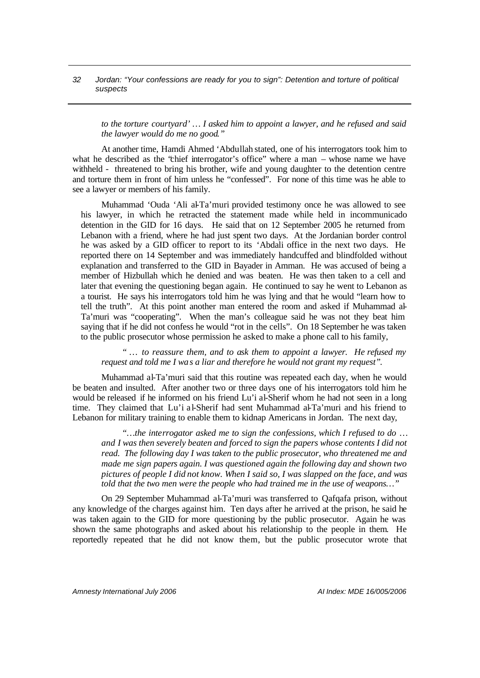*to the torture courtyard' … I asked him to appoint a lawyer, and he refused and said the lawyer would do me no good."*

At another time, Hamdi Ahmed 'Abdullah stated, one of his interrogators took him to what he described as the 'chief interrogator's office'' where a man – whose name we have withheld - threatened to bring his brother, wife and young daughter to the detention centre and torture them in front of him unless he "confessed". For none of this time was he able to see a lawyer or members of his family.

Muhammad 'Ouda 'Ali al-Ta'muri provided testimony once he was allowed to see his lawyer, in which he retracted the statement made while held in incommunicado detention in the GID for 16 days. He said that on 12 September 2005 he returned from Lebanon with a friend, where he had just spent two days. At the Jordanian border control he was asked by a GID officer to report to its 'Abdali office in the next two days. He reported there on 14 September and was immediately handcuffed and blindfolded without explanation and transferred to the GID in Bayader in Amman. He was accused of being a member of Hizbullah which he denied and was beaten. He was then taken to a cell and later that evening the questioning began again. He continued to say he went to Lebanon as a tourist. He says his interrogators told him he was lying and that he would "learn how to tell the truth". At this point another man entered the room and asked if Muhammad al-Ta'muri was "cooperating". When the man's colleague said he was not they beat him saying that if he did not confess he would "rot in the cells". On 18 September he was taken to the public prosecutor whose permission he asked to make a phone call to his family,

*" … to reassure them, and to ask them to appoint a lawyer. He refused my request and told me I was a liar and therefore he would not grant my request".* 

Muhammad al-Ta'muri said that this routine was repeated each day, when he would be beaten and insulted. After another two or three days one of his interrogators told him he would be released if he informed on his friend Lu'i al-Sherif whom he had not seen in a long time. They claimed that Lu'i al-Sherif had sent Muhammad al-Ta'muri and his friend to Lebanon for military training to enable them to kidnap Americans in Jordan. The next day,

*"…the interrogator asked me to sign the confessions, which I refused to do … and I was then severely beaten and forced to sign the papers whose contents I did not read. The following day I was taken to the public prosecutor, who threatened me and made me sign papers again. I was questioned again the following day and shown two pictures of people I did not know. When I said so, I was slapped on the face, and was told that the two men were the people who had trained me in the use of weapons…"*

On 29 September Muhammad al-Ta'muri was transferred to Qafqafa prison, without any knowledge of the charges against him. Ten days after he arrived at the prison, he said he was taken again to the GID for more questioning by the public prosecutor. Again he was shown the same photographs and asked about his relationship to the people in them. He reportedly repeated that he did not know them, but the public prosecutor wrote that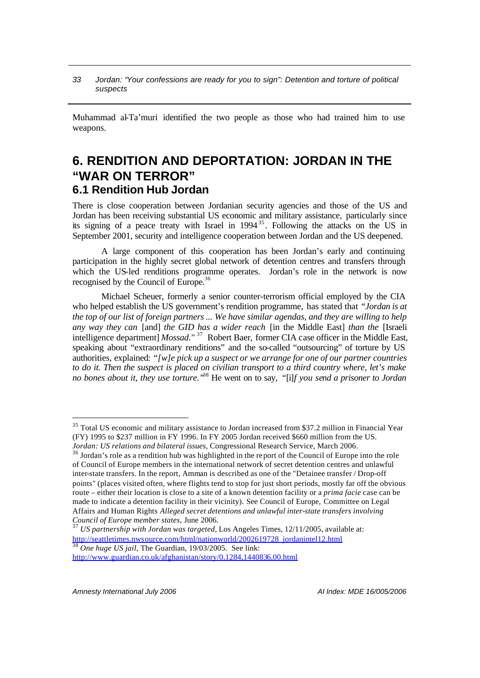Muhammad al-Ta'muri identified the two people as those who had trained him to use weapons.

# **6. RENDITION AND DEPORTATION: JORDAN IN THE "WAR ON TERROR" 6.1 Rendition Hub Jordan**

There is close cooperation between Jordanian security agencies and those of the US and Jordan has been receiving substantial US economic and military assistance, particularly since its signing of a peace treaty with Israel in  $1994^{35}$ . Following the attacks on the US in September 2001, security and intelligence cooperation between Jordan and the US deepened.

A large component of this cooperation has been Jordan's early and continuing participation in the highly secret global network of detention centres and transfers through which the US-led renditions programme operates. Jordan's role in the network is now recognised by the Council of Europe.<sup>36</sup>

Michael Scheuer, formerly a senior counter-terrorism official employed by the CIA who helped establish the US government's rendition programme, has stated that *"Jordan is at the top of our list of foreign partners ... We have similar agendas, and they are willing to help any way they can* [and] *the GID has a wider reach* [in the Middle East] *than the* [Israeli intelligence department] *Mossad.*"<sup>37</sup> Robert Baer, former CIA case officer in the Middle East. speaking about "extraordinary renditions" and the so-called "outsourcing" of torture by US authorities, explained: *"[w]e pick up a suspect or we arrange for one of our partner countries to do it. Then the suspect is placed on civilian transport to a third country where, let's make no bones about it, they use torture."*<sup>38</sup> He went on to say, *"*[i]*f you send a prisoner to Jordan* 

<sup>&</sup>lt;sup>35</sup> Total US economic and military assistance to Jordan increased from \$37.2 million in Financial Year (FY) 1995 to \$237 million in FY 1996. In FY 2005 Jordan received \$660 million from the US. *Jordan: US relations and bilateral issues*, Congressional Research Service, March 2006.

<sup>&</sup>lt;sup>36</sup> Jordan's role as a rendition hub was highlighted in the report of the Council of Europe into the role of Council of Europe members in the international network of secret detention centres and unlawful inter-state transfers. In the report, Amman is described as one of the "Detainee transfer / Drop-off points" (places visited often, where flights tend to stop for just short periods, mostly far off the obvious route – either their location is close to a site of a known detention facility or a *prima facie* case can be made to indicate a detention facility in their vicinity). See Council of Europe, Committee on Legal Affairs and Human Rights *Alleged secret detentions and unlawful inter-state transfers involving Council of Europe member states*, June 2006.

<sup>37</sup> *US partnership with Jordan was targeted*, Los Angeles Times, 12/11/2005, available at: http://seattletimes.nwsource.com/html/nationworld/2002619728\_jordanintel12.html <sup>38</sup> *One huge US jail*, The Guardian, 19/03/2005. See link:

http://www.guardian.co.uk/afghanistan/story/0,1284,1440836,00.html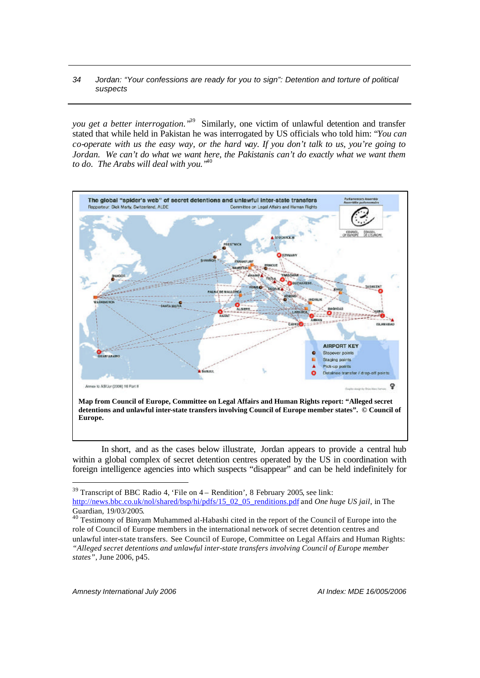*you get a better interrogation."*<sup>39</sup> Similarly, one victim of unlawful detention and transfer stated that while held in Pakistan he was interrogated by US officials who told him: "*You can co-operate with us the easy way, or the hard way. If you don't talk to us, you're going to Jordan. We can't do what we want here, the Pakistanis can't do exactly what we want them to do. The Arabs will deal with you."*<sup>40</sup>



In short, and as the cases below illustrate, Jordan appears to provide a central hub within a global complex of secret detention centres operated by the US in coordination with foreign intelligence agencies into which suspects "disappear" and can be held indefinitely for

 $39$  Transcript of BBC Radio 4, 'File on  $4 -$  Rendition', 8 February 2005, see link:

http://news.bbc.co.uk/nol/shared/bsp/hi/pdfs/15\_02\_05\_renditions.pdf and *One huge US jail*, in The Guardian, 19/03/2005.

 $40$  Testimony of Binyam Muhammed al-Habashi cited in the report of the Council of Europe into the role of Council of Europe members in the international network of secret detention centres and unlawful inter-state transfers. See Council of Europe, Committee on Legal Affairs and Human Rights: *"Alleged secret detentions and unlawful inter-state transfers involving Council of Europe member states"*, June 2006, p45.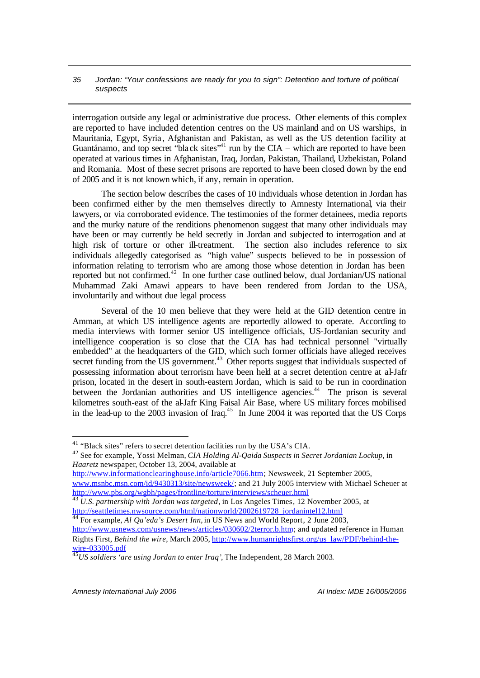interrogation outside any legal or administrative due process. Other elements of this complex are reported to have included detention centres on the US mainland and on US warships, in Mauritania, Egypt, Syria , Afghanistan and Pakistan, as well as the US detention facility at Guantánamo, and top secret "black sites"<sup>41</sup> run by the CIA – which are reported to have been operated at various times in Afghanistan, Iraq, Jordan, Pakistan, Thailand, Uzbekistan, Poland and Romania. Most of these secret prisons are reported to have been closed down by the end of 2005 and it is not known which, if any, remain in operation.

The section below describes the cases of 10 individuals whose detention in Jordan has been confirmed either by the men themselves directly to Amnesty International, via their lawyers, or via corroborated evidence. The testimonies of the former detainees, media reports and the murky nature of the renditions phenomenon suggest that many other individuals may have been or may currently be held secretly in Jordan and subjected to interrogation and at high risk of torture or other ill-treatment. The section also includes reference to six individuals allegedly categorised as "high value" suspects believed to be in possession of information relating to terrorism who are among those whose detention in Jordan has been reported but not confirmed.<sup>42</sup> In one further case outlined below, dual Jordanian/US national Muhammad Zaki Amawi appears to have been rendered from Jordan to the USA, involuntarily and without due legal process

Several of the 10 men believe that they were held at the GID detention centre in Amman, at which US intelligence agents are reportedly allowed to operate. According to media interviews with former senior US intelligence officials, US-Jordanian security and intelligence cooperation is so close that the CIA has had technical personnel "virtually embedded" at the headquarters of the GID, which such former officials have alleged receives secret funding from the US government.<sup>43</sup> Other reports suggest that individuals suspected of possessing information about terrorism have been held at a secret detention centre at al-Jafr prison, located in the desert in south-eastern Jordan, which is said to be run in coordination between the Jordanian authorities and US intelligence agencies.<sup>44</sup> The prison is several kilometres south-east of the al-Jafr King Faisal Air Base, where US military forces mobilised in the lead-up to the 2003 invasion of  $\text{Iraq}^{45}$  In June 2004 it was reported that the US Corps

http://www.informationclearinghouse.info/article7066.htm; Newsweek, 21 September 2005, www.msnbc.msn.com/id/9430313/site/newsweek/; and 21 July 2005 interview with Michael Scheuer at http://www.pbs.org/wgbh/pages/frontline/torture/interviews/scheuer.html

<sup>44</sup> For example, *Al Qa'eda's Desert Inn,* in US News and World Report, 2 June 2003, http://www.usnews.com/usnews/news/articles/030602/2terror.b.htm; and updated reference in Human Rights First, *Behind the wire*, March 2005, http://www.humanrightsfirst.org/us\_law/PDF/behind-thewire-033005.pdf

<sup>41</sup> "Black sites" refers to secret detention facilities run by the USA's CIA.

<sup>42</sup> See for example, Yossi Melman, *CIA Holding Al-Qaida Suspects in Secret Jordanian Lockup,* in *Haaretz* newspaper, October 13, 2004, available at

<sup>43</sup> *U.S. partnership with Jordan was targeted*, in Los Angeles Times, 12 November 2005, at http://seattletimes.nwsource.com/html/nationworld/2002619728\_jordanintel12.html

<sup>45</sup>*US soldiers 'are using Jordan to enter Iraq'*, The Independent, 28 March 2003.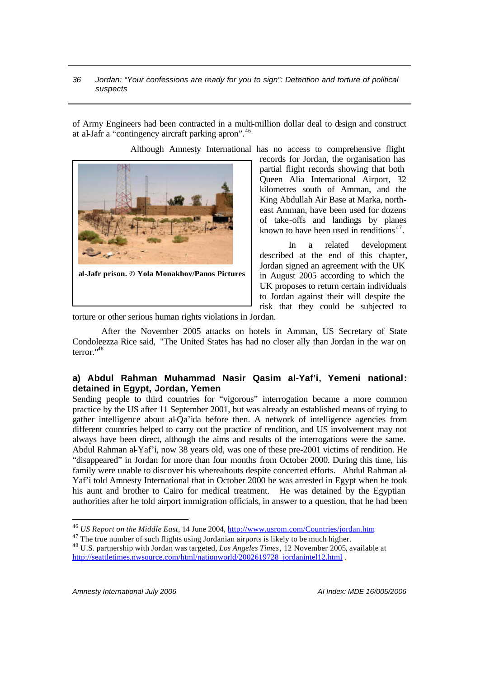of Army Engineers had been contracted in a multi-million dollar deal to design and construct at al-Jafr a "contingency aircraft parking apron".<sup>46</sup>

Although Amnesty International has no access to comprehensive flight



**al-Jafr prison. © Yola Monakhov/Panos Pictures**

records for Jordan, the organisation has partial flight records showing that both Queen Alia International Airport, 32 kilometres south of Amman, and the King Abdullah Air Base at Marka, northeast Amman, have been used for dozens of take-offs and landings by planes known to have been used in renditions $47$ .

In a related development described at the end of this chapter, Jordan signed an agreement with the UK in August 2005 according to which the UK proposes to return certain individuals to Jordan against their will despite the risk that they could be subjected to

torture or other serious human rights violations in Jordan.

After the November 2005 attacks on hotels in Amman, US Secretary of State Condoleezza Rice said, "The United States has had no closer ally than Jordan in the war on terror<sup>"48</sup>

# **a) Abdul Rahman Muhammad Nasir Qasim al-Yaf'i, Yemeni national: detained in Egypt, Jordan, Yemen**

Sending people to third countries for "vigorous" interrogation became a more common practice by the US after 11 September 2001, but was already an established means of trying to gather intelligence about  $a\overline{b}Qa'$  ida before then. A network of intelligence agencies from different countries helped to carry out the practice of rendition, and US involvement may not always have been direct, although the aims and results of the interrogations were the same. Abdul Rahman al-Yaf'i, now 38 years old, was one of these pre-2001 victims of rendition. He "disappeared" in Jordan for more than four months from October 2000. During this time, his family were unable to discover his whereabouts despite concerted efforts. Abdul Rahman al-Yaf'i told Amnesty International that in October 2000 he was arrested in Egypt when he took his aunt and brother to Cairo for medical treatment. He was detained by the Egyptian authorities after he told airport immigration officials, in answer to a question, that he had been

<sup>46</sup> *US Report on the Middle East*, 14 June 2004, http://www.usrom.com/Countries/jordan.htm

 $47$  The true number of such flights using Jordanian airports is likely to be much higher.

<sup>48</sup> U.S. partnership with Jordan was targeted, *Los Angeles Times*, 12 November 2005, available at http://seattletimes.nwsource.com/html/nationworld/2002619728\_jordanintel12.html .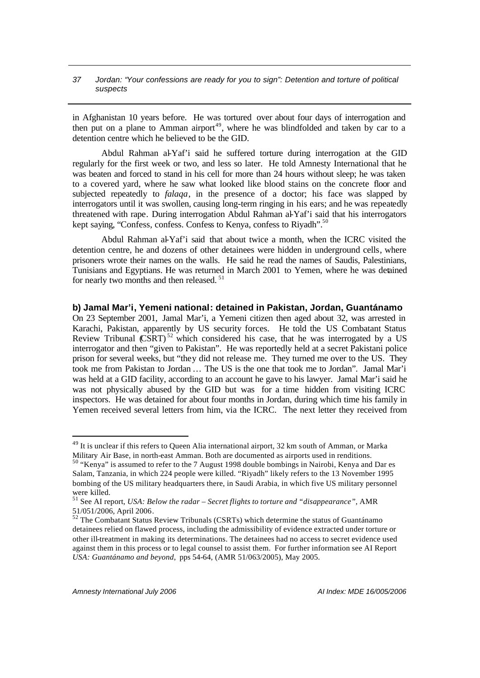in Afghanistan 10 years before. He was tortured over about four days of interrogation and then put on a plane to Amman airport<sup>49</sup>, where he was blindfolded and taken by car to a detention centre which he believed to be the GID.

Abdul Rahman al-Yaf'i said he suffered torture during interrogation at the GID regularly for the first week or two, and less so later. He told Amnesty International that he was beaten and forced to stand in his cell for more than 24 hours without sleep; he was taken to a covered yard, where he saw what looked like blood stains on the concrete floor and subjected repeatedly to *falaqa*, in the presence of a doctor; his face was slapped by interrogators until it was swollen, causing long-term ringing in his ears; and he was repeatedly threatened with rape. During interrogation Abdul Rahman al-Yaf'i said that his interrogators kept saying, "Confess, confess. Confess to Kenya, confess to Riyadh".<sup>50</sup>

Abdul Rahman al-Yaf'i said that about twice a month, when the ICRC visited the detention centre, he and dozens of other detainees were hidden in underground cells, where prisoners wrote their names on the walls. He said he read the names of Saudis, Palestinians, Tunisians and Egyptians. He was returned in March 2001 to Yemen, where he was detained for nearly two months and then released. <sup>51</sup>

**b) Jamal Mar'i, Yemeni national: detained in Pakistan, Jordan, Guantánamo** On 23 September 2001, Jamal Mar'i, a Yemeni citizen then aged about 32, was arrested in Karachi, Pakistan, apparently by US security forces. He told the US Combatant Status Review Tribunal  $\widehat{\text{CSRT}}^{52}$  which considered his case, that he was interrogated by a US interrogator and then "given to Pakistan". He was reportedly held at a secret Pakistani police prison for several weeks, but "they did not release me. They turned me over to the US. They took me from Pakistan to Jordan … The US is the one that took me to Jordan". Jamal Mar'i was held at a GID facility, according to an account he gave to his lawyer. Jamal Mar'i said he was not physically abused by the GID but was for a time hidden from visiting ICRC inspectors. He was detained for about four months in Jordan, during which time his family in Yemen received several letters from him, via the ICRC. The next letter they received from

<sup>&</sup>lt;sup>49</sup> It is unclear if this refers to Queen Alia international airport, 32 km south of Amman, or Marka Military Air Base, in north-east Amman. Both are documented as airports used in renditions.

<sup>50</sup> "Kenya" is assumed to refer to the 7 August 1998 double bombings in Nairobi, Kenya and Dar es Salam, Tanzania, in which 224 people were killed. "Riyadh" likely refers to the 13 November 1995 bombing of the US military headquarters there, in Saudi Arabia, in which five US military personnel were killed.

<sup>51</sup> See AI report, *USA: Below the radar – Secret flights to torture and "disappearance"*, AMR 51/051/2006, April 2006.

 $52$  The Combatant Status Review Tribunals (CSRTs) which determine the status of Guantánamo detainees relied on flawed process, including the admissibility of evidence extracted under torture or other ill-treatment in making its determinations. The detainees had no access to secret evidence used against them in this process or to legal counsel to assist them. For further information see AI Report *USA: Guantánamo and beyond*, pps 54-64, (AMR 51/063/2005), May 2005.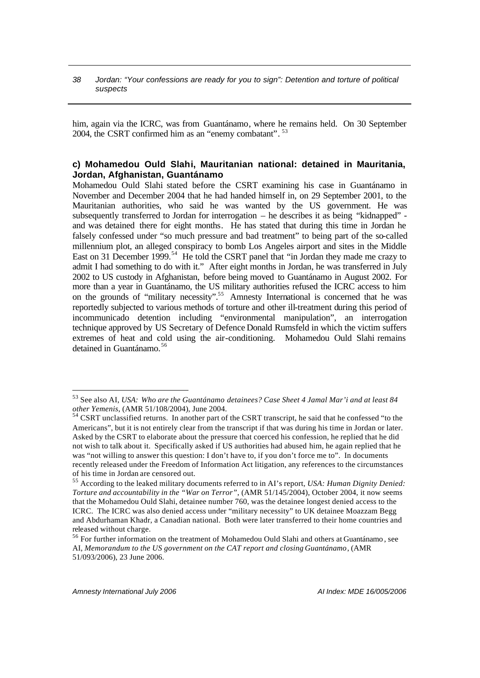him, again via the ICRC, was from Guantánamo, where he remains held. On 30 September 2004, the CSRT confirmed him as an "enemy combatant". 53

# **c) Mohamedou Ould Slahi, Mauritanian national: detained in Mauritania, Jordan, Afghanistan, Guantánamo**

Mohamedou Ould Slahi stated before the CSRT examining his case in Guantánamo in November and December 2004 that he had handed himself in, on 29 September 2001, to the Mauritanian authorities, who said he was wanted by the US government. He was subsequently transferred to Jordan for interrogation – he describes it as being "kidnapped" and was detained there for eight months. He has stated that during this time in Jordan he falsely confessed under "so much pressure and bad treatment" to being part of the so-called millennium plot, an alleged conspiracy to bomb Los Angeles airport and sites in the Middle East on 31 December 1999.<sup>54</sup> He told the CSRT panel that "in Jordan they made me crazy to admit I had something to do with it." After eight months in Jordan, he was transferred in July 2002 to US custody in Afghanistan, before being moved to Guantánamo in August 2002. For more than a year in Guantánamo, the US military authorities refused the ICRC access to him on the grounds of "military necessity".<sup>55</sup> Amnesty International is concerned that he was reportedly subjected to various methods of torture and other ill-treatment during this period of incommunicado detention including "environmental manipulation", an interrogation technique approved by US Secretary of Defence Donald Rumsfeld in which the victim suffers extremes of heat and cold using the air-conditioning. Mohamedou Ould Slahi remains detained in Guantánamo. 56

<sup>53</sup> See also AI, *USA: Who are the Guantánamo detainees? Case Sheet 4 Jamal Mar'i and at least 84 other Yemenis*, (AMR 51/108/2004), June 2004.

<sup>54</sup> CSRT unclassified returns. In another part of the CSRT transcript, he said that he confessed "to the Americans", but it is not entirely clear from the transcript if that was during his time in Jordan or later. Asked by the CSRT to elaborate about the pressure that coerced his confession, he replied that he did not wish to talk about it. Specifically asked if US authorities had abused him, he again replied that he was "not willing to answer this question: I don't have to, if you don't force me to". In documents recently released under the Freedom of Information Act litigation, any references to the circumstances of his time in Jordan are censored out.

<sup>55</sup> According to the leaked military documents referred to in AI's report, *USA: Human Dignity Denied: Torture and accountability in the "War on Terror"*, (AMR 51/145/2004), October 2004, it now seems that the Mohamedou Ould Slahi, detainee number 760, was the detainee longest denied access to the ICRC. The ICRC was also denied access under "military necessity" to UK detainee Moazzam Begg and Abdurhaman Khadr, a Canadian national. Both were later transferred to their home countries and released without charge.

<sup>&</sup>lt;sup>56</sup> For further information on the treatment of Mohamedou Ould Slahi and others at Guantánamo, see AI, *Memorandum to the US government on the CAT report and closing Guantánamo*, (AMR 51/093/2006), 23 June 2006.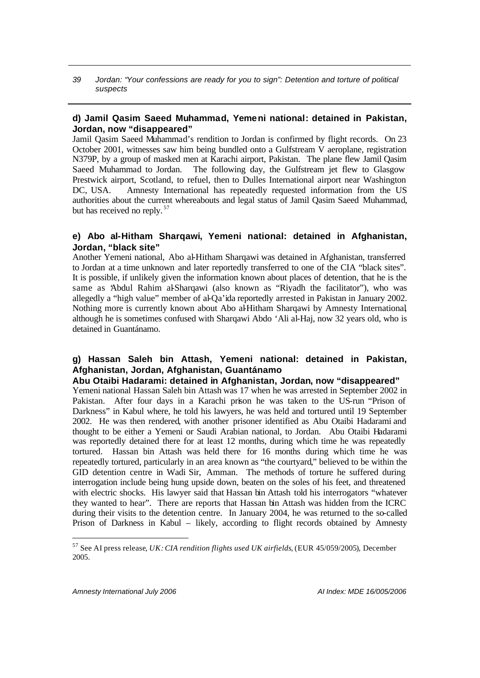# **d) Jamil Qasim Saeed Muhammad, Yemeni national: detained in Pakistan, Jordan, now "disappeared"**

Jamil Qasim Saeed Muhammad's rendition to Jordan is confirmed by flight records. On 23 October 2001, witnesses saw him being bundled onto a Gulfstream V aeroplane, registration N379P, by a group of masked men at Karachi airport, Pakistan. The plane flew Jamil Qasim Saeed Muhammad to Jordan. The following day, the Gulfstream jet flew to Glasgow Prestwick airport, Scotland, to refuel, then to Dulles International airport near Washington DC, USA. Amnesty International has repeatedly requested information from the US authorities about the current whereabouts and legal status of Jamil Qasim Saeed Muhammad, but has received no reply.<sup>57</sup>

# **e) Abo al-Hitham Sharqawi, Yemeni national: detained in Afghanistan, Jordan, "black site"**

Another Yemeni national, Abo al-Hitham Sharqawi was detained in Afghanistan, transferred to Jordan at a time unknown and later reportedly transferred to one of the CIA "black sites". It is possible, if unlikely given the information known about places of detention, that he is the same as 'Abdul Rahim al-Sharqawi (also known as "Riyadh the facilitator"), who was allegedly a "high value" member of al-Qa'ida reportedly arrested in Pakistan in January 2002. Nothing more is currently known about Abo al-Hitham Sharqawi by Amnesty International, although he is sometimes confused with Sharqawi Abdo 'Ali al-Haj, now 32 years old, who is detained in Guantánamo.

# **g) Hassan Saleh bin Attash, Yemeni national: detained in Pakistan, Afghanistan, Jordan, Afghanistan, Guantánamo**

# **Abu Otaibi Hadarami: detained in Afghanistan, Jordan, now "disappeared"**

Yemeni national Hassan Saleh bin Attash was 17 when he was arrested in September 2002 in Pakistan. After four days in a Karachi prison he was taken to the US-run "Prison of Darkness" in Kabul where, he told his lawyers, he was held and tortured until 19 September 2002. He was then rendered, with another prisoner identified as Abu Otaibi Hadarami and thought to be either a Yemeni or Saudi Arabian national, to Jordan. Abu Otaibi Hadarami was reportedly detained there for at least 12 months, during which time he was repeatedly tortured. Hassan bin Attash was held there for 16 months during which time he was repeatedly tortured, particularly in an area known as "the courtyard," believed to be within the GID detention centre in Wadi Sir, Amman. The methods of torture he suffered during interrogation include being hung upside down, beaten on the soles of his feet, and threatened with electric shocks. His lawyer said that Hassan bin Attash told his interrogators "whatever they wanted to hear". There are reports that Hassan bin Attash was hidden from the ICRC during their visits to the detention centre. In January 2004, he was returned to the so-called Prison of Darkness in Kabul – likely, according to flight records obtained by Amnesty

<sup>57</sup> See AI press release, *UK: CIA rendition flights used UK airfields*, (EUR 45/059/2005), December 2005.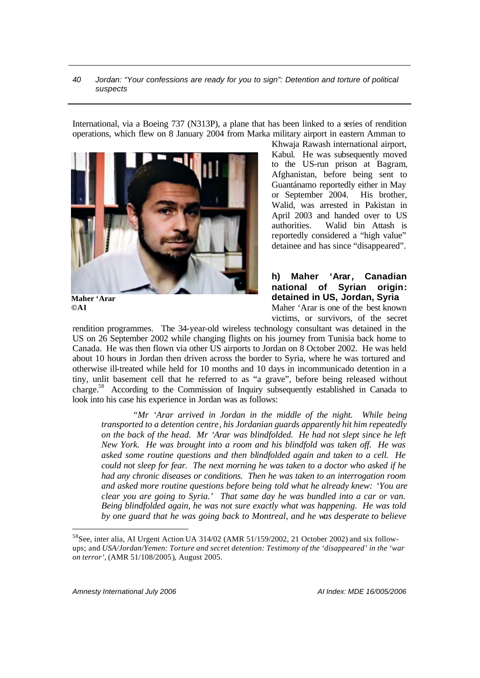International, via a Boeing 737 (N313P), a plane that has been linked to a series of rendition operations, which flew on 8 January 2004 from Marka military airport in eastern Amman to



Khwaja Rawash international airport, Kabul. He was subsequently moved to the US-run prison at Bagram, Afghanistan, before being sent to Guantánamo reportedly either in May or September 2004. His brother, Walid, was arrested in Pakistan in April 2003 and handed over to US authorities. Walid bin Attash is reportedly considered a "high value" detainee and has since "disappeared".

**h) Maher 'Arar, Canadian national of Syrian origin: detained in US, Jordan, Syria** Maher 'Arar is one of the best known victims, or survivors, of the secret

rendition programmes. The 34-year-old wireless technology consultant was detained in the US on 26 September 2002 while changing flights on his journey from Tunisia back home to Canada. He was then flown via other US airports to Jordan on 8 October 2002. He was held about 10 hours in Jordan then driven across the border to Syria, where he was tortured and otherwise ill-treated while held for 10 months and 10 days in incommunicado detention in a tiny, unlit basement cell that he referred to as "a grave", before being released without charge.<sup>58</sup> According to the Commission of Inquiry subsequently established in Canada to look into his case his experience in Jordan was as follows:

*"Mr 'Arar arrived in Jordan in the middle of the night. While being transported to a detention centre, his Jordanian guards apparently hit him repeatedly on the back of the head. Mr 'Arar was blindfolded. He had not slept since he left New York. He was brought into a room and his blindfold was taken off. He was asked some routine questions and then blindfolded again and taken to a cell. He could not sleep for fear. The next morning he was taken to a doctor who asked if he had any chronic diseases or conditions. Then he was taken to an interrogation room and asked more routine questions before being told what he already knew: 'You are clear you are going to Syria.' That same day he was bundled into a car or van. Being blindfolded again, he was not sure exactly what was happening. He was told by one guard that he was going back to Montreal, and he was desperate to believe* 

*Amnesty International July 2006 AI Index: MDE 16/005/2006*

<sup>&</sup>lt;sup>58</sup>See, inter alia, AI Urgent Action UA 314/02 (AMR 51/159/2002, 21 October 2002) and six followups; and *USA/Jordan/Yemen: Torture and secret detention: Testimony of the 'disappeared' in the 'war on terror'*, (AMR 51/108/2005), August 2005.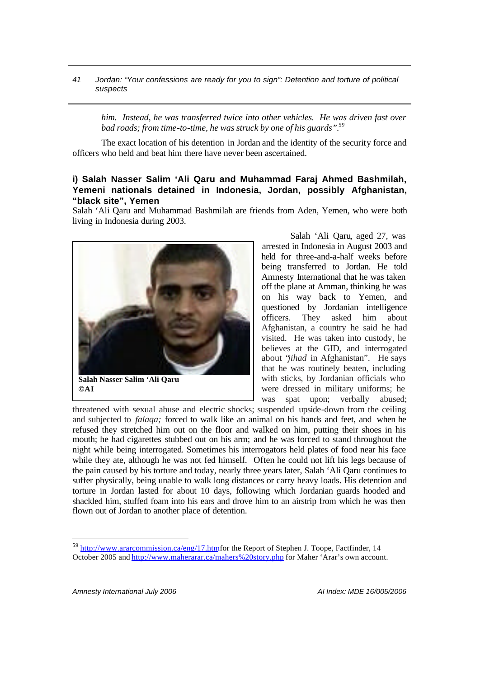*him. Instead, he was transferred twice into other vehicles. He was driven fast over bad roads; from time-to-time, he was struck by one of his guards". 59*

The exact location of his detention in Jordan and the identity of the security force and officers who held and beat him there have never been ascertained.

# **i) Salah Nasser Salim 'Ali Qaru and Muhammad Faraj Ahmed Bashmilah, Yemeni nationals detained in Indonesia, Jordan, possibly Afghanistan, "black site", Yemen**

Salah 'Ali Qaru and Muhammad Bashmilah are friends from Aden, Yemen, who were both living in Indonesia during 2003.



Salah 'Ali Qaru, aged 27, was arrested in Indonesia in August 2003 and held for three-and-a-half weeks before being transferred to Jordan. He told Amnesty International that he was taken off the plane at Amman, thinking he was on his way back to Yemen, and questioned by Jordanian intelligence officers. They asked him about Afghanistan, a country he said he had visited. He was taken into custody, he believes at the GID, and interrogated about "*jihad* in Afghanistan". He says that he was routinely beaten, including with sticks, by Jordanian officials who were dressed in military uniforms; he was spat upon; verbally abused;

threatened with sexual abuse and electric shocks; suspended upside-down from the ceiling and subjected to *falaqa;* forced to walk like an animal on his hands and feet, and when he refused they stretched him out on the floor and walked on him, putting their shoes in his mouth; he had cigarettes stubbed out on his arm; and he was forced to stand throughout the night while being interrogated. Sometimes his interrogators held plates of food near his face while they ate, although he was not fed himself. Often he could not lift his legs because of the pain caused by his torture and today, nearly three years later, Salah 'Ali Qaru continues to suffer physically, being unable to walk long distances or carry heavy loads. His detention and torture in Jordan lasted for about 10 days, following which Jordanian guards hooded and shackled him, stuffed foam into his ears and drove him to an airstrip from which he was then flown out of Jordan to another place of detention.

<sup>&</sup>lt;sup>59</sup> http://www.ararcommission.ca/eng/17.htm for the Report of Stephen J. Toope, Factfinder, 14 October 2005 and http://www.maherarar.ca/mahers%20story.php for Maher 'Arar's own account.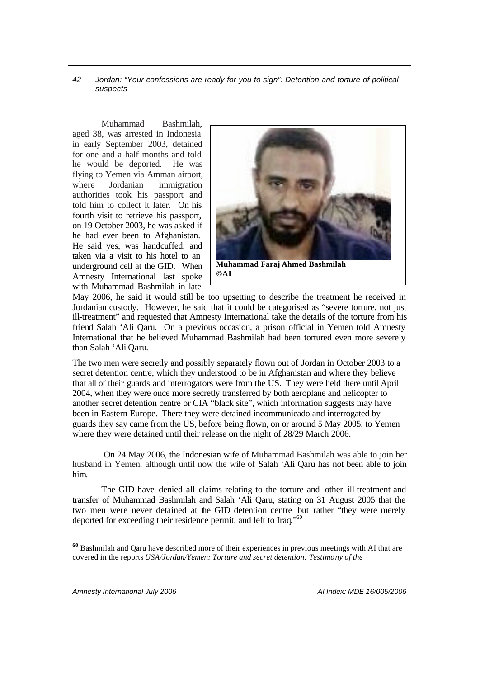Muhammad Bashmilah, aged 38, was arrested in Indonesia in early September 2003, detained for one-and-a-half months and told he would be deported. He was flying to Yemen via Amman airport, where Jordanian immigration authorities took his passport and told him to collect it later. On his fourth visit to retrieve his passport, on 19 October 2003, he was asked if he had ever been to Afghanistan. He said yes, was handcuffed, and taken via a visit to his hotel to an underground cell at the GID. When Amnesty International last spoke with Muhammad Bashmilah in late



May 2006, he said it would still be too upsetting to describe the treatment he received in Jordanian custody. However, he said that it could be categorised as "severe torture, not just ill-treatment" and requested that Amnesty International take the details of the torture from his friend Salah 'Ali Qaru. On a previous occasion, a prison official in Yemen told Amnesty International that he believed Muhammad Bashmilah had been tortured even more severely than Salah 'Ali Qaru.

The two men were secretly and possibly separately flown out of Jordan in October 2003 to a secret detention centre, which they understood to be in Afghanistan and where they believe that all of their guards and interrogators were from the US. They were held there until April 2004, when they were once more secretly transferred by both aeroplane and helicopter to another secret detention centre or CIA "black site", which information suggests may have been in Eastern Europe. There they were detained incommunicado and interrogated by guards they say came from the US, before being flown, on or around 5 May 2005, to Yemen where they were detained until their release on the night of 28/29 March 2006.

 On 24 May 2006, the Indonesian wife of Muhammad Bashmilah was able to join her husband in Yemen, although until now the wife of Salah 'Ali Qaru has not been able to join him.

The GID have denied all claims relating to the torture and other ill-treatment and transfer of Muhammad Bashmilah and Salah 'Ali Qaru, stating on 31 August 2005 that the two men were never detained at the GID detention centre but rather "they were merely deported for exceeding their residence permit, and left to Iraq."<sup>60</sup>

**<sup>60</sup>** Bashmilah and Qaru have described more of their experiences in previous meetings with AI that are covered in the reports *USA/Jordan/Yemen: Torture and secret detention: Testimony of the*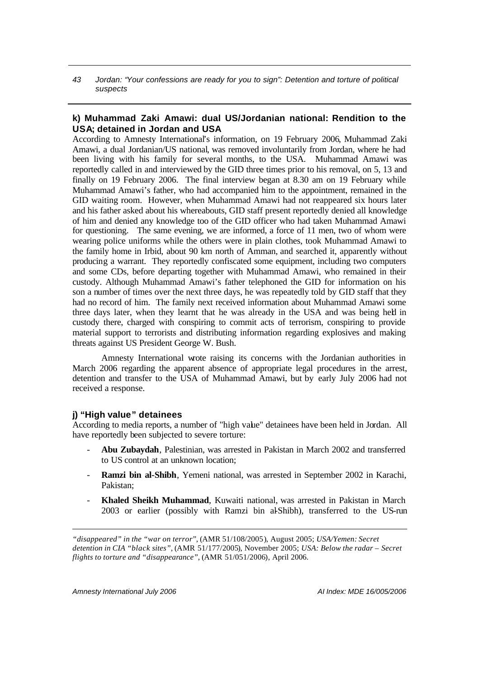# **k) Muhammad Zaki Amawi: dual US/Jordanian national: Rendition to the USA; detained in Jordan and USA**

According to Amnesty International's information, on 19 February 2006, Muhammad Zaki Amawi, a dual Jordanian/US national, was removed involuntarily from Jordan, where he had been living with his family for several months, to the USA. Muhammad Amawi was reportedly called in and interviewed by the GID three times prior to his removal, on 5, 13 and finally on 19 February 2006. The final interview began at 8.30 am on 19 February while Muhammad Amawi's father, who had accompanied him to the appointment, remained in the GID waiting room. However, when Muhammad Amawi had not reappeared six hours later and his father asked about his whereabouts, GID staff present reportedly denied all knowledge of him and denied any knowledge too of the GID officer who had taken Muhammad Amawi for questioning. The same evening, we are informed, a force of 11 men, two of whom were wearing police uniforms while the others were in plain clothes, took Muhammad Amawi to the family home in Irbid, about 90 km north of Amman, and searched it, apparently without producing a warrant. They reportedly confiscated some equipment, including two computers and some CDs, before departing together with Muhammad Amawi, who remained in their custody. Although Muhammad Amawi's father telephoned the GID for information on his son a number of times over the next three days, he was repeatedly told by GID staff that they had no record of him. The family next received information about Muhammad Amawi some three days later, when they learnt that he was already in the USA and was being held in custody there, charged with conspiring to commit acts of terrorism, conspiring to provide material support to terrorists and distributing information regarding explosives and making threats against US President George W. Bush.

Amnesty International wrote raising its concerns with the Jordanian authorities in March 2006 regarding the apparent absence of appropriate legal procedures in the arrest, detention and transfer to the USA of Muhammad Amawi, but by early July 2006 had not received a response.

### **j) "High value" detainees**

According to media reports, a number of "high value" detainees have been held in Jordan. All have reportedly been subjected to severe torture:

- **Abu Zubaydah**, Palestinian, was arrested in Pakistan in March 2002 and transferred to US control at an unknown location;
- **Ramzi bin al-Shibh**, Yemeni national, was arrested in September 2002 in Karachi, Pakistan;
- **Khaled Sheikh Muhammad**, Kuwaiti national, was arrested in Pakistan in March 2003 or earlier (possibly with Ramzi bin al-Shibh), transferred to the US-run

*"disappeared" in the "war on terror"*, (AMR 51/108/2005), August 2005; *USA/Yemen: Secret detention in CIA "black sites"*, (AMR 51/177/2005), November 2005; *USA: Below the radar – Secret flights to torture and "disappearance"*, (AMR 51/051/2006), April 2006.

*Amnesty International July 2006 AI Index: MDE 16/005/2006*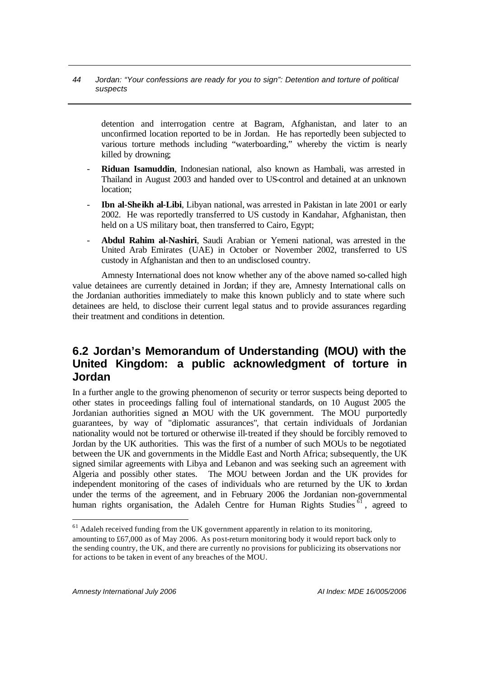detention and interrogation centre at Bagram, Afghanistan, and later to an unconfirmed location reported to be in Jordan. He has reportedly been subjected to various torture methods including "waterboarding," whereby the victim is nearly killed by drowning;

- **Riduan Isamuddin**, Indonesian national, also known as Hambali, was arrested in Thailand in August 2003 and handed over to US-control and detained at an unknown location;
- **Ibn al-Sheikh al-Libi**, Libyan national, was arrested in Pakistan in late 2001 or early 2002. He was reportedly transferred to US custody in Kandahar, Afghanistan, then held on a US military boat, then transferred to Cairo, Egypt;
- **Abdul Rahim al-Nashiri**, Saudi Arabian or Yemeni national, was arrested in the United Arab Emirates (UAE) in October or November 2002, transferred to US custody in Afghanistan and then to an undisclosed country.

Amnesty International does not know whether any of the above named so-called high value detainees are currently detained in Jordan; if they are, Amnesty International calls on the Jordanian authorities immediately to make this known publicly and to state where such detainees are held, to disclose their current legal status and to provide assurances regarding their treatment and conditions in detention.

# **6.2 Jordan's Memorandum of Understanding (MOU) with the United Kingdom: a public acknowledgment of torture in Jordan**

In a further angle to the growing phenomenon of security or terror suspects being deported to other states in proceedings falling foul of international standards, on 10 August 2005 the Jordanian authorities signed an MOU with the UK government. The MOU purportedly guarantees, by way of "diplomatic assurances", that certain individuals of Jordanian nationality would not be tortured or otherwise ill-treated if they should be forcibly removed to Jordan by the UK authorities. This was the first of a number of such MOUs to be negotiated between the UK and governments in the Middle East and North Africa; subsequently, the UK signed similar agreements with Libya and Lebanon and was seeking such an agreement with Algeria and possibly other states. The MOU between Jordan and the UK provides for independent monitoring of the cases of individuals who are returned by the UK to Jordan under the terms of the agreement, and in February 2006 the Jordanian non-governmental human rights organisation, the Adaleh Centre for Human Rights Studies  $61$ , agreed to

<sup>&</sup>lt;sup>61</sup> Adaleh received funding from the UK government apparently in relation to its monitoring, amounting to £67,000 as of May 2006. As post-return monitoring body it would report back only to the sending country, the UK, and there are currently no provisions for publicizing its observations nor for actions to be taken in event of any breaches of the MOU.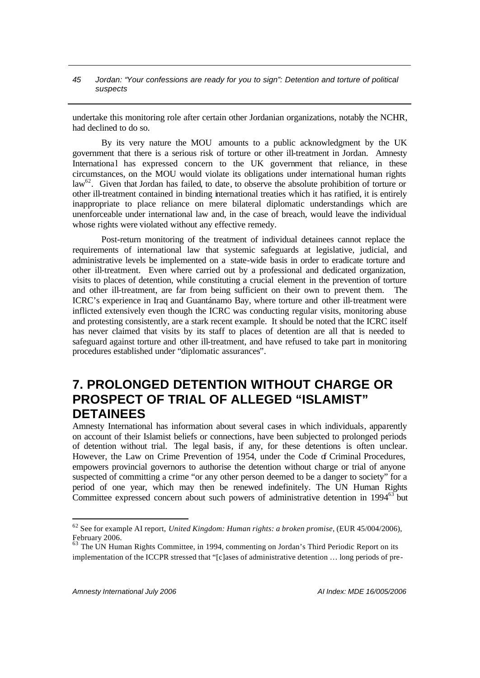undertake this monitoring role after certain other Jordanian organizations, notably the NCHR, had declined to do so.

By its very nature the MOU amounts to a public acknowledgment by the UK government that there is a serious risk of torture or other ill-treatment in Jordan. Amnesty International has expressed concern to the UK government that reliance, in these circumstances, on the MOU would violate its obligations under international human rights  $law<sup>62</sup>$ . Given that Jordan has failed, to date, to observe the absolute prohibition of torture or other ill-treatment contained in binding international treaties which it has ratified, it is entirely inappropriate to place reliance on mere bilateral diplomatic understandings which are unenforceable under international law and, in the case of breach, would leave the individual whose rights were violated without any effective remedy.

Post-return monitoring of the treatment of individual detainees cannot replace the requirements of international law that systemic safeguards at legislative, judicial, and administrative levels be implemented on a state-wide basis in order to eradicate torture and other ill-treatment. Even where carried out by a professional and dedicated organization, visits to places of detention, while constituting a crucial element in the prevention of torture and other ill-treatment, are far from being sufficient on their own to prevent them. The ICRC's experience in Iraq and Guantánamo Bay, where torture and other ill-treatment were inflicted extensively even though the ICRC was conducting regular visits, monitoring abuse and protesting consistently, are a stark recent example. It should be noted that the ICRC itself has never claimed that visits by its staff to places of detention are all that is needed to safeguard against torture and other ill-treatment, and have refused to take part in monitoring procedures established under "diplomatic assurances".

# **7. PROLONGED DETENTION WITHOUT CHARGE OR PROSPECT OF TRIAL OF ALLEGED "ISLAMIST" DETAINEES**

Amnesty International has information about several cases in which individuals, apparently on account of their Islamist beliefs or connections, have been subjected to prolonged periods of detention without trial. The legal basis, if any, for these detentions is often unclear. However, the Law on Crime Prevention of 1954, under the Code of Criminal Procedures, empowers provincial governors to authorise the detention without charge or trial of anyone suspected of committing a crime "or any other person deemed to be a danger to society" for a period of one year, which may then be renewed indefinitely. The UN Human Rights Committee expressed concern about such powers of administrative detention in 1994<sup>63</sup> but

<sup>62</sup> See for example AI report, *United Kingdom: Human rights: a broken promise*, (EUR 45/004/2006), February 2006.

 $63$  The UN Human Rights Committee, in 1994, commenting on Jordan's Third Periodic Report on its implementation of the ICCPR stressed that "[c]ases of administrative detention … long periods of pre-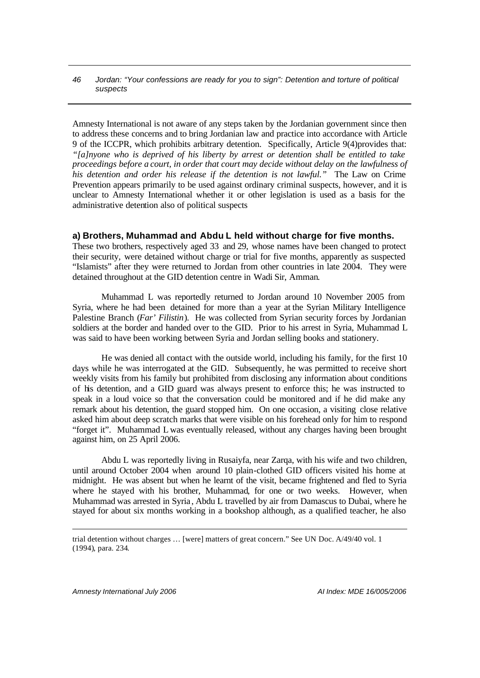Amnesty International is not aware of any steps taken by the Jordanian government since then to address these concerns and to bring Jordanian law and practice into accordance with Article 9 of the ICCPR, which prohibits arbitrary detention. Specifically, Article 9(4)provides that: *"[a]nyone who is deprived of his liberty by arrest or detention shall be entitled to take proceedings before a court, in order that court may decide without delay on the lawfulness of his detention and order his release if the detention is not lawful."* The Law on Crime Prevention appears primarily to be used against ordinary criminal suspects, however, and it is unclear to Amnesty International whether it or other legislation is used as a basis for the administrative detention also of political suspects

### **a) Brothers, Muhammad and Abdu L held without charge for five months.**

These two brothers, respectively aged 33 and 29, whose names have been changed to protect their security, were detained without charge or trial for five months, apparently as suspected "Islamists" after they were returned to Jordan from other countries in late 2004. They were detained throughout at the GID detention centre in Wadi Sir, Amman.

Muhammad L was reportedly returned to Jordan around 10 November 2005 from Syria, where he had been detained for more than a year at the Syrian Military Intelligence Palestine Branch (*Far' Filistin*). He was collected from Syrian security forces by Jordanian soldiers at the border and handed over to the GID. Prior to his arrest in Syria, Muhammad L was said to have been working between Syria and Jordan selling books and stationery.

He was denied all contact with the outside world, including his family, for the first 10 days while he was interrogated at the GID. Subsequently, he was permitted to receive short weekly visits from his family but prohibited from disclosing any information about conditions of his detention, and a GID guard was always present to enforce this; he was instructed to speak in a loud voice so that the conversation could be monitored and if he did make any remark about his detention, the guard stopped him. On one occasion, a visiting close relative asked him about deep scratch marks that were visible on his forehead only for him to respond "forget it". Muhammad L was eventually released, without any charges having been brought against him, on 25 April 2006.

Abdu L was reportedly living in Rusaiyfa, near Zarqa, with his wife and two children, until around October 2004 when around 10 plain-clothed GID officers visited his home at midnight. He was absent but when he learnt of the visit, became frightened and fled to Syria where he stayed with his brother, Muhammad, for one or two weeks. However, when Muhammad was arrested in Syria , Abdu L travelled by air from Damascus to Dubai, where he stayed for about six months working in a bookshop although, as a qualified teacher, he also

*Amnesty International July 2006 AI Index: MDE 16/005/2006*

trial detention without charges … [were] matters of great concern." See UN Doc. A/49/40 vol. 1 (1994), para. 234.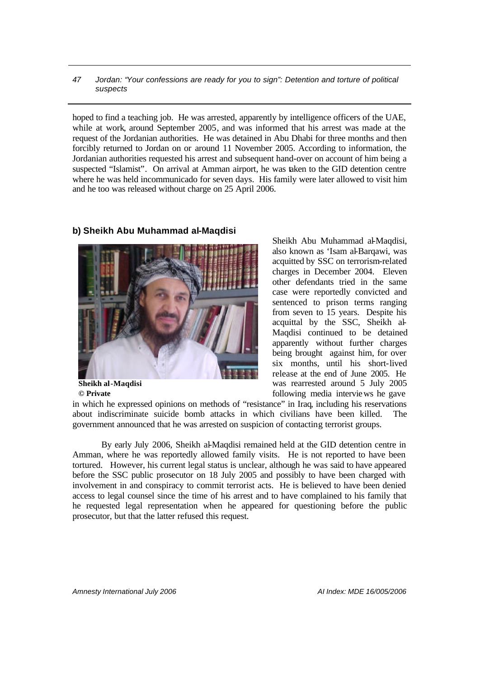hoped to find a teaching job. He was arrested, apparently by intelligence officers of the UAE, while at work, around September 2005, and was informed that his arrest was made at the request of the Jordanian authorities. He was detained in Abu Dhabi for three months and then forcibly returned to Jordan on or around 11 November 2005. According to information, the Jordanian authorities requested his arrest and subsequent hand-over on account of him being a suspected "Islamist". On arrival at Amman airport, he was taken to the GID detention centre where he was held incommunicado for seven days. His family were later allowed to visit him and he too was released without charge on 25 April 2006.

**b) Sheikh Abu Muhammad al-Maqdisi** 

**Sheikh al-Maqdisi © Private**

### Sheikh Abu Muhammad al-Maqdisi, also known as 'Isam al-Barqawi, was acquitted by SSC on terrorism-related charges in December 2004. Eleven other defendants tried in the same case were reportedly convicted and sentenced to prison terms ranging from seven to 15 years. Despite his acquittal by the SSC, Sheikh al-Maqdisi continued to be detained apparently without further charges being brought against him, for over six months, until his short-lived release at the end of June 2005. He was rearrested around 5 July 2005 following media interviews he gave

in which he expressed opinions on methods of "resistance" in Iraq, including his reservations about indiscriminate suicide bomb attacks in which civilians have been killed. The government announced that he was arrested on suspicion of contacting terrorist groups.

By early July 2006, Sheikh al-Maqdisi remained held at the GID detention centre in Amman, where he was reportedly allowed family visits. He is not reported to have been tortured. However, his current legal status is unclear, although he was said to have appeared before the SSC public prosecutor on 18 July 2005 and possibly to have been charged with involvement in and conspiracy to commit terrorist acts. He is believed to have been denied access to legal counsel since the time of his arrest and to have complained to his family that he requested legal representation when he appeared for questioning before the public prosecutor, but that the latter refused this request.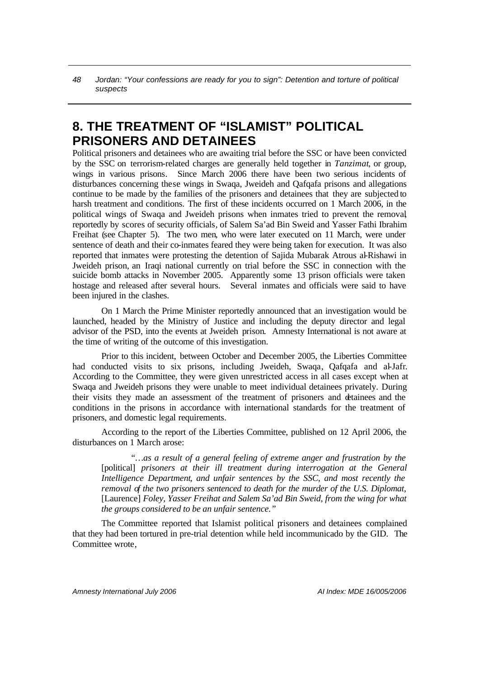# **8. THE TREATMENT OF "ISLAMIST" POLITICAL PRISONERS AND DETAINEES**

Political prisoners and detainees who are awaiting trial before the SSC or have been convicted by the SSC on terrorism-related charges are generally held together in *Tanzimat*, or group, wings in various prisons*.* Since March 2006 there have been two serious incidents of disturbances concerning these wings in Swaqa, Jweideh and Qafqafa prisons and allegations continue to be made by the families of the prisoners and detainees that they are subjected to harsh treatment and conditions. The first of these incidents occurred on 1 March 2006, in the political wings of Swaqa and Jweideh prisons when inmates tried to prevent the removal, reportedly by scores of security officials, of Salem Sa'ad Bin Sweid and Yasser Fathi Ibrahim Freihat (see Chapter 5). The two men, who were later executed on 11 March, were under sentence of death and their co-inmates feared they were being taken for execution. It was also reported that inmates were protesting the detention of Sajida Mubarak Atrous al-Rishawi in Jweideh prison, an Iraqi national currently on trial before the SSC in connection with the suicide bomb attacks in November 2005. Apparently some 13 prison officials were taken hostage and released after several hours. Several inmates and officials were said to have been injured in the clashes.

On 1 March the Prime Minister reportedly announced that an investigation would be launched, headed by the Ministry of Justice and including the deputy director and legal advisor of the PSD, into the events at Jweideh prison. Amnesty International is not aware at the time of writing of the outcome of this investigation.

Prior to this incident, between October and December 2005, the Liberties Committee had conducted visits to six prisons, including Jweideh, Swaqa, Qafqafa and al-Jafr. According to the Committee, they were given unrestricted access in all cases except when at Swaqa and Jweideh prisons they were unable to meet individual detainees privately. During their visits they made an assessment of the treatment of prisoners and detainees and the conditions in the prisons in accordance with international standards for the treatment of prisoners, and domestic legal requirements.

According to the report of the Liberties Committee, published on 12 April 2006, the disturbances on 1 March arose:

*"…as a result of a general feeling of extreme anger and frustration by the*  [political] *prisoners at their ill treatment during interrogation at the General Intelligence Department, and unfair sentences by the SSC, and most recently the removal of the two prisoners sentenced to death for the murder of the U.S. Diplomat,*  [Laurence] *Foley, Yasser Freihat and Salem Sa'ad Bin Sweid, from the wing for what the groups considered to be an unfair sentence."*

The Committee reported that Islamist political prisoners and detainees complained that they had been tortured in pre-trial detention while held incommunicado by the GID.The Committee wrote,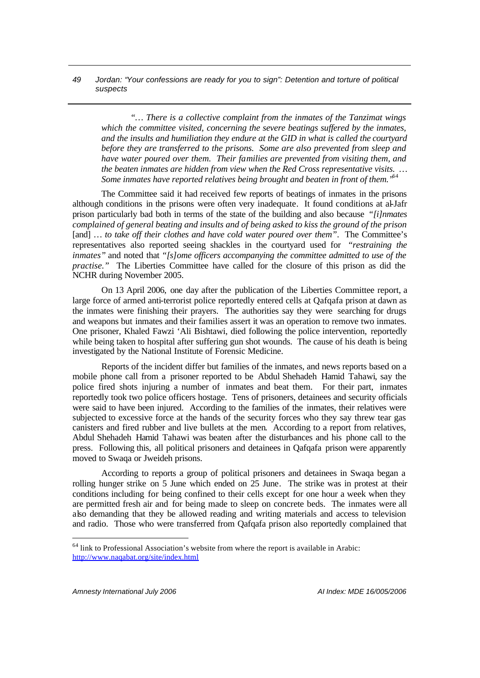*"… There is a collective complaint from the inmates of the Tanzimat wings which the committee visited, concerning the severe beatings suffered by the inmates, and the insults and humiliation they endure at the GID in what is called the courtyard before they are transferred to the prisons. Some are also prevented from sleep and have water poured over them. Their families are prevented from visiting them, and the beaten inmates are hidden from view when the Red Cross representative visits. … Some inmates have reported relatives being brought and beaten in front of them."*<sup>64</sup>

The Committee said it had received few reports of beatings of inmates in the prisons although conditions in the prisons were often very inadequate*.* It found conditions at al-Jafr prison particularly bad both in terms of the state of the building and also because *"[i]nmates complained of general beating and insults and of being asked to kiss the ground of the prison*  [and] ... to take off their clothes and have cold water poured over them". The Committee's representatives also reported seeing shackles in the courtyard used for *"restraining the inmates"* and noted that *"[s]ome officers accompanying the committee admitted to use of the practise.*" The Liberties Committee have called for the closure of this prison as did the NCHR during November 2005.

On 13 April 2006, one day after the publication of the Liberties Committee report, a large force of armed anti-terrorist police reportedly entered cells at Qafqafa prison at dawn as the inmates were finishing their prayers. The authorities say they were searching for drugs and weapons but inmates and their families assert it was an operation to remove two inmates. One prisoner, Khaled Fawzi 'Ali Bishtawi, died following the police intervention, reportedly while being taken to hospital after suffering gun shot wounds. The cause of his death is being investigated by the National Institute of Forensic Medicine.

Reports of the incident differ but families of the inmates, and news reports based on a mobile phone call from a prisoner reported to be Abdul Shehadeh Hamid Tahawi, say the police fired shots injuring a number of inmates and beat them. For their part, inmates reportedly took two police officers hostage. Tens of prisoners, detainees and security officials were said to have been injured. According to the families of the inmates, their relatives were subjected to excessive force at the hands of the security forces who they say threw tear gas canisters and fired rubber and live bullets at the men. According to a report from relatives, Abdul Shehadeh Hamid Tahawi was beaten after the disturbances and his phone call to the press. Following this, all political prisoners and detainees in Qafqafa prison were apparently moved to Swaqa or Jweideh prisons.

According to reports a group of political prisoners and detainees in Swaqa began a rolling hunger strike on 5 June which ended on 25 June. The strike was in protest at their conditions including for being confined to their cells except for one hour a week when they are permitted fresh air and for being made to sleep on concrete beds. The inmates were all also demanding that they be allowed reading and writing materials and access to television and radio. Those who were transferred from Qafqafa prison also reportedly complained that

<sup>64</sup> link to Professional Association's website from where the report is available in Arabic: http://www.naqabat.org/site/index.html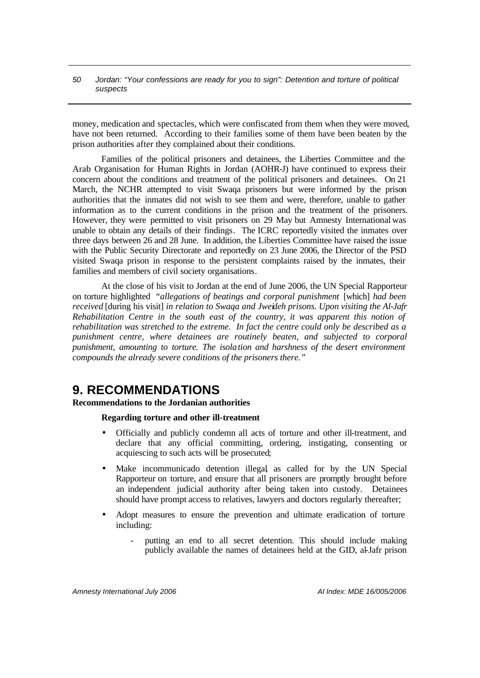money, medication and spectacles, which were confiscated from them when they were moved, have not been returned. According to their families some of them have been beaten by the prison authorities after they complained about their conditions.

Families of the political prisoners and detainees, the Liberties Committee and the Arab Organisation for Human Rights in Jordan (AOHR-J) have continued to express their concern about the conditions and treatment of the political prisoners and detainees. On 21 March, the NCHR attempted to visit Swaqa prisoners but were informed by the prison authorities that the inmates did not wish to see them and were, therefore, unable to gather information as to the current conditions in the prison and the treatment of the prisoners. However, they were permitted to visit prisoners on 29 May but Amnesty International was unable to obtain any details of their findings. The ICRC reportedly visited the inmates over three days between 26 and 28 June. In addition, the Liberties Committee have raised the issue with the Public Security Directorate and reportedly on 23 June 2006, the Director of the PSD visited Swaqa prison in response to the persistent complaints raised by the inmates, their families and members of civil society organisations.

At the close of his visit to Jordan at the end of June 2006, the UN Special Rapporteur on torture highlighted *"allegations of beatings and corporal punishment* [which] *had been received* [during his visit] *in relation to Swaqa and Jweideh prisons. Upon visiting the Al-Jafr Rehabilitation Centre in the south east of the country, it was apparent this notion of rehabilitation was stretched to the extreme. In fact the centre could only be described as a punishment centre, where detainees are routinely beaten, and subjected to corporal punishment, amounting to torture. The isolation and harshness of the desert environment compounds the already severe conditions of the prisoners there."*

# **9. RECOMMENDATIONS**

# **Recommendations to the Jordanian authorities**

# **Regarding torture and other ill-treatment**

- Officially and publicly condemn all acts of torture and other ill-treatment, and declare that any official committing, ordering, instigating, consenting or acquiescing to such acts will be prosecuted;
- Make incommunicado detention illegal, as called for by the UN Special Rapporteur on torture, and ensure that all prisoners are promptly brought before an independent judicial authority after being taken into custody. Detainees should have prompt access to relatives, lawyers and doctors regularly thereafter;
- Adopt measures to ensure the prevention and ultimate eradication of torture including:
	- putting an end to all secret detention. This should include making publicly available the names of detainees held at the GID, al-Jafr prison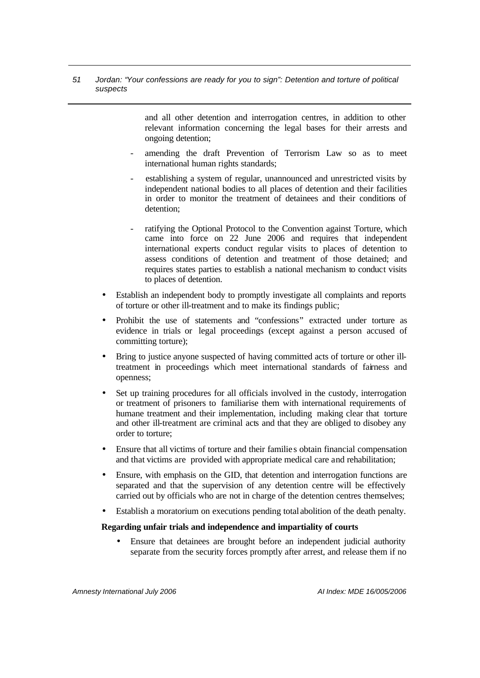> and all other detention and interrogation centres, in addition to other relevant information concerning the legal bases for their arrests and ongoing detention;

- amending the draft Prevention of Terrorism Law so as to meet international human rights standards;
- establishing a system of regular, unannounced and unrestricted visits by independent national bodies to all places of detention and their facilities in order to monitor the treatment of detainees and their conditions of detention;
- ratifying the Optional Protocol to the Convention against Torture, which came into force on 22 June 2006 and requires that independent international experts conduct regular visits to places of detention to assess conditions of detention and treatment of those detained; and requires states parties to establish a national mechanism to conduct visits to places of detention.
- Establish an independent body to promptly investigate all complaints and reports of torture or other ill-treatment and to make its findings public;
- Prohibit the use of statements and "confessions" extracted under torture as evidence in trials or legal proceedings (except against a person accused of committing torture);
- Bring to justice anyone suspected of having committed acts of torture or other illtreatment in proceedings which meet international standards of fairness and openness;
- Set up training procedures for all officials involved in the custody, interrogation or treatment of prisoners to familiarise them with international requirements of humane treatment and their implementation, including making clear that torture and other ill-treatment are criminal acts and that they are obliged to disobey any order to torture;
- Ensure that all victims of torture and their familie s obtain financial compensation and that victims are provided with appropriate medical care and rehabilitation;
- Ensure, with emphasis on the GID, that detention and interrogation functions are separated and that the supervision of any detention centre will be effectively carried out by officials who are not in charge of the detention centres themselves;
- Establish a moratorium on executions pending total abolition of the death penalty.

### **Regarding unfair trials and independence and impartiality of courts**

• Ensure that detainees are brought before an independent judicial authority separate from the security forces promptly after arrest, and release them if no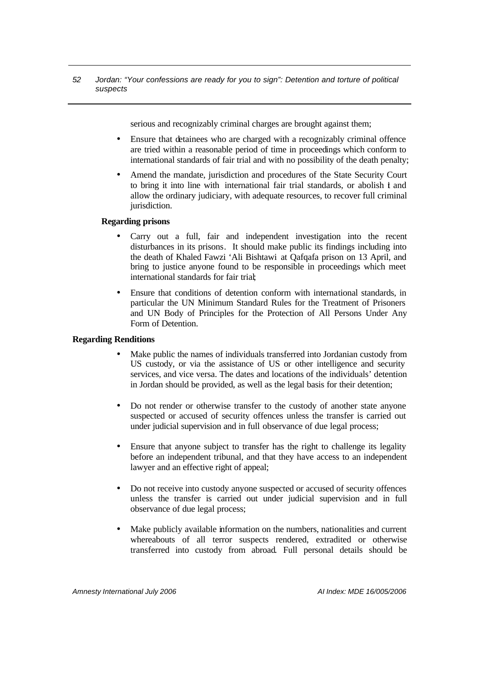serious and recognizably criminal charges are brought against them;

- Ensure that detainees who are charged with a recognizably criminal offence are tried within a reasonable period of time in proceedings which conform to international standards of fair trial and with no possibility of the death penalty;
- Amend the mandate, jurisdiction and procedures of the State Security Court to bring it into line with international fair trial standards, or abolish it and allow the ordinary judiciary, with adequate resources, to recover full criminal jurisdiction.

#### **Regarding prisons**

- Carry out a full, fair and independent investigation into the recent disturbances in its prisons. It should make public its findings including into the death of Khaled Fawzi 'Ali Bishtawi at Qafqafa prison on 13 April, and bring to justice anyone found to be responsible in proceedings which meet international standards for fair trial;
- Ensure that conditions of detention conform with international standards, in particular the UN Minimum Standard Rules for the Treatment of Prisoners and UN Body of Principles for the Protection of All Persons Under Any Form of Detention.

### **Regarding Renditions**

- Make public the names of individuals transferred into Jordanian custody from US custody, or via the assistance of US or other intelligence and security services, and vice versa. The dates and locations of the individuals' detention in Jordan should be provided, as well as the legal basis for their detention;
- Do not render or otherwise transfer to the custody of another state anyone suspected or accused of security offences unless the transfer is carried out under judicial supervision and in full observance of due legal process;
- Ensure that anyone subject to transfer has the right to challenge its legality before an independent tribunal, and that they have access to an independent lawyer and an effective right of appeal;
- Do not receive into custody anyone suspected or accused of security offences unless the transfer is carried out under judicial supervision and in full observance of due legal process;
- Make publicly available information on the numbers, nationalities and current whereabouts of all terror suspects rendered, extradited or otherwise transferred into custody from abroad. Full personal details should be